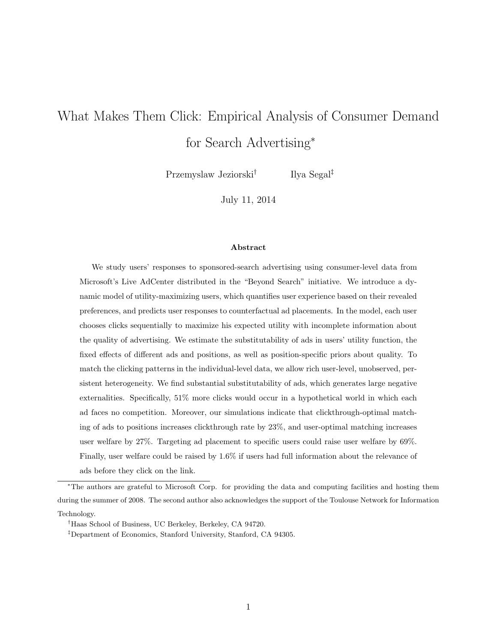# What Makes Them Click: Empirical Analysis of Consumer Demand for Search Advertising<sup>∗</sup>

Przemyslaw Jeziorski† Ilya Segal‡

July 11, 2014

#### Abstract

We study users' responses to sponsored-search advertising using consumer-level data from Microsoft's Live AdCenter distributed in the "Beyond Search" initiative. We introduce a dynamic model of utility-maximizing users, which quantifies user experience based on their revealed preferences, and predicts user responses to counterfactual ad placements. In the model, each user chooses clicks sequentially to maximize his expected utility with incomplete information about the quality of advertising. We estimate the substitutability of ads in users' utility function, the fixed effects of different ads and positions, as well as position-specific priors about quality. To match the clicking patterns in the individual-level data, we allow rich user-level, unobserved, persistent heterogeneity. We find substantial substitutability of ads, which generates large negative externalities. Specifically, 51% more clicks would occur in a hypothetical world in which each ad faces no competition. Moreover, our simulations indicate that clickthrough-optimal matching of ads to positions increases clickthrough rate by 23%, and user-optimal matching increases user welfare by 27%. Targeting ad placement to specific users could raise user welfare by 69%. Finally, user welfare could be raised by 1.6% if users had full information about the relevance of ads before they click on the link.

<sup>∗</sup>The authors are grateful to Microsoft Corp. for providing the data and computing facilities and hosting them during the summer of 2008. The second author also acknowledges the support of the Toulouse Network for Information Technology.

<sup>†</sup>Haas School of Business, UC Berkeley, Berkeley, CA 94720.

<sup>‡</sup>Department of Economics, Stanford University, Stanford, CA 94305.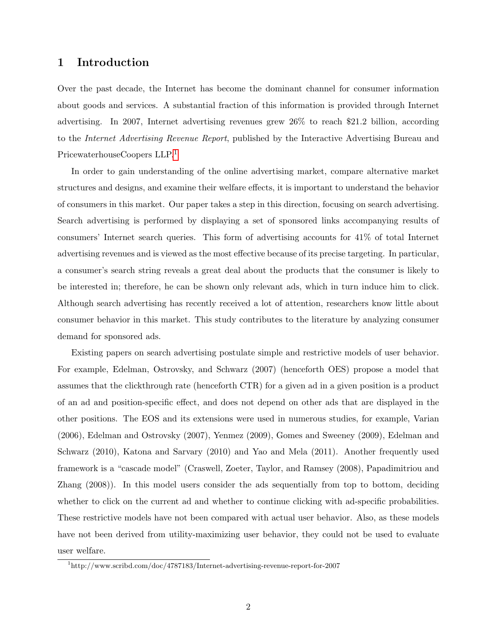## 1 Introduction

Over the past decade, the Internet has become the dominant channel for consumer information about goods and services. A substantial fraction of this information is provided through Internet advertising. In 2007, Internet advertising revenues grew 26% to reach \$21.2 billion, according to the Internet Advertising Revenue Report, published by the Interactive Advertising Bureau and PricewaterhouseCoopers LLP.[1](#page-1-0)

In order to gain understanding of the online advertising market, compare alternative market structures and designs, and examine their welfare effects, it is important to understand the behavior of consumers in this market. Our paper takes a step in this direction, focusing on search advertising. Search advertising is performed by displaying a set of sponsored links accompanying results of consumers' Internet search queries. This form of advertising accounts for 41% of total Internet advertising revenues and is viewed as the most effective because of its precise targeting. In particular, a consumer's search string reveals a great deal about the products that the consumer is likely to be interested in; therefore, he can be shown only relevant ads, which in turn induce him to click. Although search advertising has recently received a lot of attention, researchers know little about consumer behavior in this market. This study contributes to the literature by analyzing consumer demand for sponsored ads.

Existing papers on search advertising postulate simple and restrictive models of user behavior. For example, Edelman, Ostrovsky, and Schwarz (2007) (henceforth OES) propose a model that assumes that the clickthrough rate (henceforth CTR) for a given ad in a given position is a product of an ad and position-specific effect, and does not depend on other ads that are displayed in the other positions. The EOS and its extensions were used in numerous studies, for example, Varian (2006), Edelman and Ostrovsky (2007), Yenmez (2009), Gomes and Sweeney (2009), Edelman and Schwarz (2010), Katona and Sarvary (2010) and Yao and Mela (2011). Another frequently used framework is a "cascade model" (Craswell, Zoeter, Taylor, and Ramsey (2008), Papadimitriou and Zhang (2008)). In this model users consider the ads sequentially from top to bottom, deciding whether to click on the current ad and whether to continue clicking with ad-specific probabilities. These restrictive models have not been compared with actual user behavior. Also, as these models have not been derived from utility-maximizing user behavior, they could not be used to evaluate user welfare.

<span id="page-1-0"></span><sup>1</sup>http://www.scribd.com/doc/4787183/Internet-advertising-revenue-report-for-2007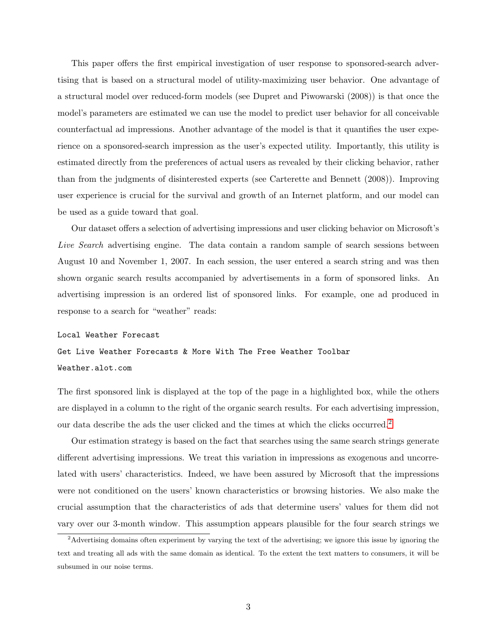This paper offers the first empirical investigation of user response to sponsored-search advertising that is based on a structural model of utility-maximizing user behavior. One advantage of a structural model over reduced-form models (see Dupret and Piwowarski (2008)) is that once the model's parameters are estimated we can use the model to predict user behavior for all conceivable counterfactual ad impressions. Another advantage of the model is that it quantifies the user experience on a sponsored-search impression as the user's expected utility. Importantly, this utility is estimated directly from the preferences of actual users as revealed by their clicking behavior, rather than from the judgments of disinterested experts (see Carterette and Bennett (2008)). Improving user experience is crucial for the survival and growth of an Internet platform, and our model can be used as a guide toward that goal.

Our dataset offers a selection of advertising impressions and user clicking behavior on Microsoft's Live Search advertising engine. The data contain a random sample of search sessions between August 10 and November 1, 2007. In each session, the user entered a search string and was then shown organic search results accompanied by advertisements in a form of sponsored links. An advertising impression is an ordered list of sponsored links. For example, one ad produced in response to a search for "weather" reads:

#### Local Weather Forecast

Get Live Weather Forecasts & More With The Free Weather Toolbar Weather.alot.com

The first sponsored link is displayed at the top of the page in a highlighted box, while the others are displayed in a column to the right of the organic search results. For each advertising impression, our data describe the ads the user clicked and the times at which the clicks occurred.<sup>[2](#page-2-0)</sup>

Our estimation strategy is based on the fact that searches using the same search strings generate different advertising impressions. We treat this variation in impressions as exogenous and uncorrelated with users' characteristics. Indeed, we have been assured by Microsoft that the impressions were not conditioned on the users' known characteristics or browsing histories. We also make the crucial assumption that the characteristics of ads that determine users' values for them did not vary over our 3-month window. This assumption appears plausible for the four search strings we

<span id="page-2-0"></span><sup>&</sup>lt;sup>2</sup>Advertising domains often experiment by varying the text of the advertising; we ignore this issue by ignoring the text and treating all ads with the same domain as identical. To the extent the text matters to consumers, it will be subsumed in our noise terms.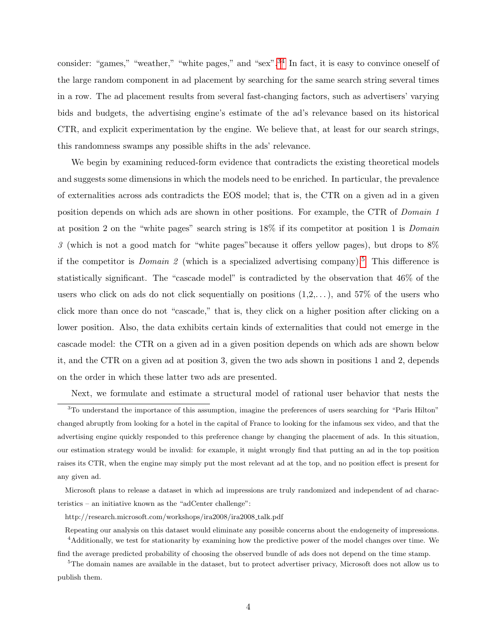consider: "games," "weather," "white pages," and "sex".<sup>[3](#page-3-0)[4](#page-3-1)</sup> In fact, it is easy to convince oneself of the large random component in ad placement by searching for the same search string several times in a row. The ad placement results from several fast-changing factors, such as advertisers' varying bids and budgets, the advertising engine's estimate of the ad's relevance based on its historical CTR, and explicit experimentation by the engine. We believe that, at least for our search strings, this randomness swamps any possible shifts in the ads' relevance.

We begin by examining reduced-form evidence that contradicts the existing theoretical models and suggests some dimensions in which the models need to be enriched. In particular, the prevalence of externalities across ads contradicts the EOS model; that is, the CTR on a given ad in a given position depends on which ads are shown in other positions. For example, the CTR of Domain 1 at position 2 on the "white pages" search string is 18% if its competitor at position 1 is Domain 3 (which is not a good match for "white pages"because it offers yellow pages), but drops to 8% if the competitor is *Domain 2* (which is a specialized advertising company).<sup>[5](#page-3-2)</sup> This difference is statistically significant. The "cascade model" is contradicted by the observation that 46% of the users who click on ads do not click sequentially on positions  $(1,2,...)$ , and 57% of the users who click more than once do not "cascade," that is, they click on a higher position after clicking on a lower position. Also, the data exhibits certain kinds of externalities that could not emerge in the cascade model: the CTR on a given ad in a given position depends on which ads are shown below it, and the CTR on a given ad at position 3, given the two ads shown in positions 1 and 2, depends on the order in which these latter two ads are presented.

<span id="page-3-0"></span>Next, we formulate and estimate a structural model of rational user behavior that nests the

<sup>3</sup>To understand the importance of this assumption, imagine the preferences of users searching for "Paris Hilton" changed abruptly from looking for a hotel in the capital of France to looking for the infamous sex video, and that the advertising engine quickly responded to this preference change by changing the placement of ads. In this situation, our estimation strategy would be invalid: for example, it might wrongly find that putting an ad in the top position raises its CTR, when the engine may simply put the most relevant ad at the top, and no position effect is present for any given ad.

Microsoft plans to release a dataset in which ad impressions are truly randomized and independent of ad characteristics – an initiative known as the "adCenter challenge":

http://research.microsoft.com/workshops/ira2008/ira2008 talk.pdf

<span id="page-3-1"></span>Repeating our analysis on this dataset would eliminate any possible concerns about the endogeneity of impressions. <sup>4</sup>Additionally, we test for stationarity by examining how the predictive power of the model changes over time. We

<span id="page-3-2"></span>find the average predicted probability of choosing the observed bundle of ads does not depend on the time stamp. <sup>5</sup>The domain names are available in the dataset, but to protect advertiser privacy, Microsoft does not allow us to

publish them.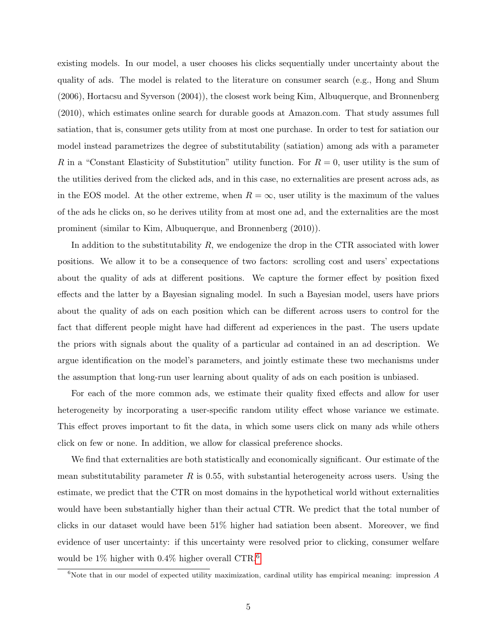existing models. In our model, a user chooses his clicks sequentially under uncertainty about the quality of ads. The model is related to the literature on consumer search (e.g., Hong and Shum (2006), Hortacsu and Syverson (2004)), the closest work being Kim, Albuquerque, and Bronnenberg (2010), which estimates online search for durable goods at Amazon.com. That study assumes full satiation, that is, consumer gets utility from at most one purchase. In order to test for satiation our model instead parametrizes the degree of substitutability (satiation) among ads with a parameter R in a "Constant Elasticity of Substitution" utility function. For  $R=0$ , user utility is the sum of the utilities derived from the clicked ads, and in this case, no externalities are present across ads, as in the EOS model. At the other extreme, when  $R = \infty$ , user utility is the maximum of the values of the ads he clicks on, so he derives utility from at most one ad, and the externalities are the most prominent (similar to Kim, Albuquerque, and Bronnenberg (2010)).

In addition to the substitutability  $R$ , we endogenize the drop in the CTR associated with lower positions. We allow it to be a consequence of two factors: scrolling cost and users' expectations about the quality of ads at different positions. We capture the former effect by position fixed effects and the latter by a Bayesian signaling model. In such a Bayesian model, users have priors about the quality of ads on each position which can be different across users to control for the fact that different people might have had different ad experiences in the past. The users update the priors with signals about the quality of a particular ad contained in an ad description. We argue identification on the model's parameters, and jointly estimate these two mechanisms under the assumption that long-run user learning about quality of ads on each position is unbiased.

For each of the more common ads, we estimate their quality fixed effects and allow for user heterogeneity by incorporating a user-specific random utility effect whose variance we estimate. This effect proves important to fit the data, in which some users click on many ads while others click on few or none. In addition, we allow for classical preference shocks.

We find that externalities are both statistically and economically significant. Our estimate of the mean substitutability parameter  $R$  is 0.55, with substantial heterogeneity across users. Using the estimate, we predict that the CTR on most domains in the hypothetical world without externalities would have been substantially higher than their actual CTR. We predict that the total number of clicks in our dataset would have been 51% higher had satiation been absent. Moreover, we find evidence of user uncertainty: if this uncertainty were resolved prior to clicking, consumer welfare would be  $1\%$  higher with 0.4% higher overall CTR.<sup>[6](#page-4-0)</sup>

<span id="page-4-0"></span><sup>&</sup>lt;sup>6</sup>Note that in our model of expected utility maximization, cardinal utility has empirical meaning: impression  $A$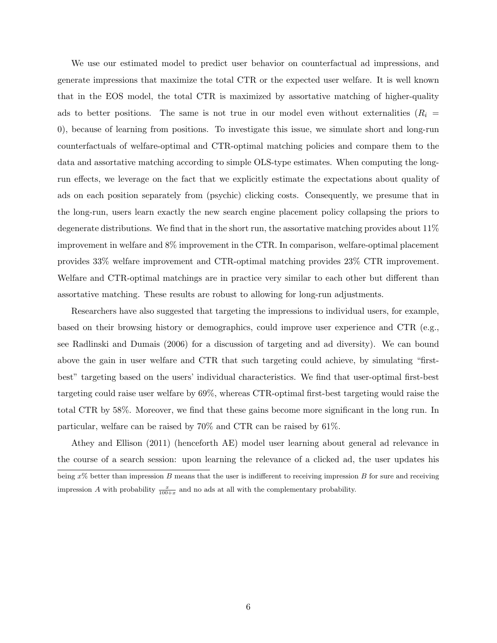We use our estimated model to predict user behavior on counterfactual ad impressions, and generate impressions that maximize the total CTR or the expected user welfare. It is well known that in the EOS model, the total CTR is maximized by assortative matching of higher-quality ads to better positions. The same is not true in our model even without externalities ( $R_i$  = 0), because of learning from positions. To investigate this issue, we simulate short and long-run counterfactuals of welfare-optimal and CTR-optimal matching policies and compare them to the data and assortative matching according to simple OLS-type estimates. When computing the longrun effects, we leverage on the fact that we explicitly estimate the expectations about quality of ads on each position separately from (psychic) clicking costs. Consequently, we presume that in the long-run, users learn exactly the new search engine placement policy collapsing the priors to degenerate distributions. We find that in the short run, the assortative matching provides about 11% improvement in welfare and 8% improvement in the CTR. In comparison, welfare-optimal placement provides 33% welfare improvement and CTR-optimal matching provides 23% CTR improvement. Welfare and CTR-optimal matchings are in practice very similar to each other but different than assortative matching. These results are robust to allowing for long-run adjustments.

Researchers have also suggested that targeting the impressions to individual users, for example, based on their browsing history or demographics, could improve user experience and CTR (e.g., see Radlinski and Dumais (2006) for a discussion of targeting and ad diversity). We can bound above the gain in user welfare and CTR that such targeting could achieve, by simulating "firstbest" targeting based on the users' individual characteristics. We find that user-optimal first-best targeting could raise user welfare by 69%, whereas CTR-optimal first-best targeting would raise the total CTR by 58%. Moreover, we find that these gains become more significant in the long run. In particular, welfare can be raised by 70% and CTR can be raised by 61%.

Athey and Ellison (2011) (henceforth AE) model user learning about general ad relevance in the course of a search session: upon learning the relevance of a clicked ad, the user updates his being  $x\%$  better than impression B means that the user is indifferent to receiving impression B for sure and receiving impression A with probability  $\frac{x}{100+x}$  and no ads at all with the complementary probability.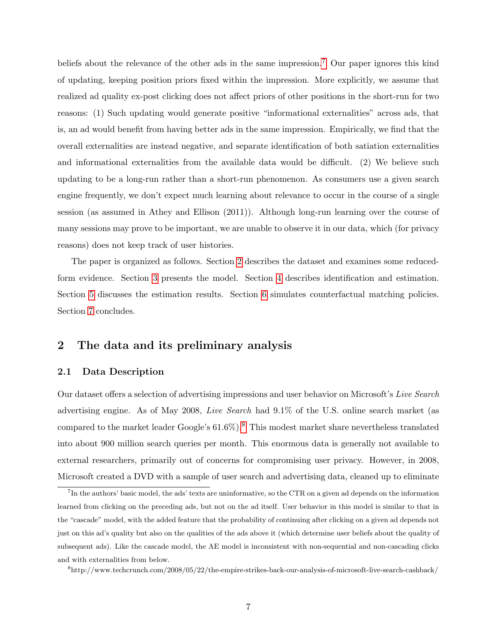beliefs about the relevance of the other ads in the same impression.<sup>[7](#page-6-0)</sup> Our paper ignores this kind of updating, keeping position priors fixed within the impression. More explicitly, we assume that realized ad quality ex-post clicking does not affect priors of other positions in the short-run for two reasons: (1) Such updating would generate positive "informational externalities" across ads, that is, an ad would benefit from having better ads in the same impression. Empirically, we find that the overall externalities are instead negative, and separate identification of both satiation externalities and informational externalities from the available data would be difficult. (2) We believe such updating to be a long-run rather than a short-run phenomenon. As consumers use a given search engine frequently, we don't expect much learning about relevance to occur in the course of a single session (as assumed in Athey and Ellison (2011)). Although long-run learning over the course of many sessions may prove to be important, we are unable to observe it in our data, which (for privacy reasons) does not keep track of user histories.

The paper is organized as follows. Section [2](#page-6-1) describes the dataset and examines some reducedform evidence. Section [3](#page-12-0) presents the model. Section [4](#page-15-0) describes identification and estimation. Section [5](#page-20-0) discusses the estimation results. Section [6](#page-30-0) simulates counterfactual matching policies. Section [7](#page-34-0) concludes.

# <span id="page-6-1"></span>2 The data and its preliminary analysis

### 2.1 Data Description

Our dataset offers a selection of advertising impressions and user behavior on Microsoft's Live Search advertising engine. As of May 2008, Live Search had 9.1% of the U.S. online search market (as compared to the market leader Google's  $61.6\%$ ).<sup>[8](#page-6-2)</sup> This modest market share nevertheless translated into about 900 million search queries per month. This enormous data is generally not available to external researchers, primarily out of concerns for compromising user privacy. However, in 2008, Microsoft created a DVD with a sample of user search and advertising data, cleaned up to eliminate

<span id="page-6-0"></span><sup>&</sup>lt;sup>7</sup>In the authors' basic model, the ads' texts are uninformative, so the CTR on a given ad depends on the information learned from clicking on the preceding ads, but not on the ad itself. User behavior in this model is similar to that in the "cascade" model, with the added feature that the probability of continuing after clicking on a given ad depends not just on this ad's quality but also on the qualities of the ads above it (which determine user beliefs about the quality of subsequent ads). Like the cascade model, the AE model is inconsistent with non-sequential and non-cascading clicks and with externalities from below.

<span id="page-6-2"></span><sup>8</sup>http://www.techcrunch.com/2008/05/22/the-empire-strikes-back-our-analysis-of-microsoft-live-search-cashback/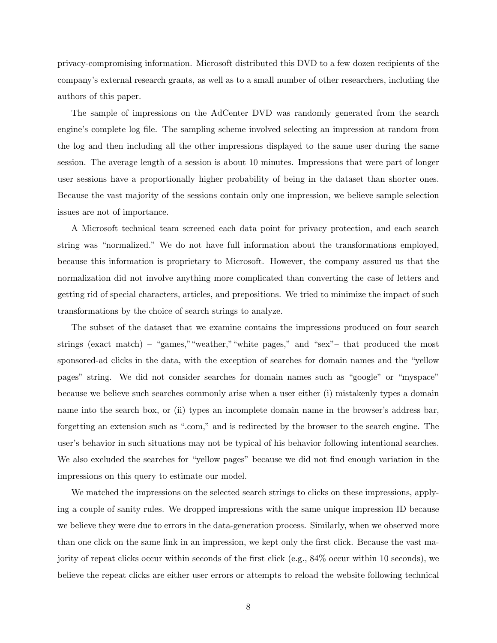privacy-compromising information. Microsoft distributed this DVD to a few dozen recipients of the company's external research grants, as well as to a small number of other researchers, including the authors of this paper.

The sample of impressions on the AdCenter DVD was randomly generated from the search engine's complete log file. The sampling scheme involved selecting an impression at random from the log and then including all the other impressions displayed to the same user during the same session. The average length of a session is about 10 minutes. Impressions that were part of longer user sessions have a proportionally higher probability of being in the dataset than shorter ones. Because the vast majority of the sessions contain only one impression, we believe sample selection issues are not of importance.

A Microsoft technical team screened each data point for privacy protection, and each search string was "normalized." We do not have full information about the transformations employed, because this information is proprietary to Microsoft. However, the company assured us that the normalization did not involve anything more complicated than converting the case of letters and getting rid of special characters, articles, and prepositions. We tried to minimize the impact of such transformations by the choice of search strings to analyze.

The subset of the dataset that we examine contains the impressions produced on four search strings (exact match) – "games,""weather,""white pages," and "sex"– that produced the most sponsored-ad clicks in the data, with the exception of searches for domain names and the "yellow pages" string. We did not consider searches for domain names such as "google" or "myspace" because we believe such searches commonly arise when a user either (i) mistakenly types a domain name into the search box, or (ii) types an incomplete domain name in the browser's address bar, forgetting an extension such as ".com," and is redirected by the browser to the search engine. The user's behavior in such situations may not be typical of his behavior following intentional searches. We also excluded the searches for "yellow pages" because we did not find enough variation in the impressions on this query to estimate our model.

We matched the impressions on the selected search strings to clicks on these impressions, applying a couple of sanity rules. We dropped impressions with the same unique impression ID because we believe they were due to errors in the data-generation process. Similarly, when we observed more than one click on the same link in an impression, we kept only the first click. Because the vast majority of repeat clicks occur within seconds of the first click (e.g., 84% occur within 10 seconds), we believe the repeat clicks are either user errors or attempts to reload the website following technical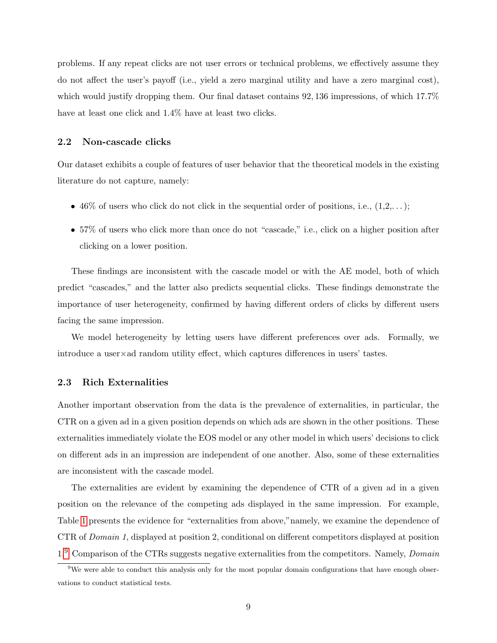problems. If any repeat clicks are not user errors or technical problems, we effectively assume they do not affect the user's payoff (i.e., yield a zero marginal utility and have a zero marginal cost), which would justify dropping them. Our final dataset contains 92, 136 impressions, of which 17.7% have at least one click and  $1.4\%$  have at least two clicks.

#### 2.2 Non-cascade clicks

Our dataset exhibits a couple of features of user behavior that the theoretical models in the existing literature do not capture, namely:

- 46% of users who click do not click in the sequential order of positions, i.e.,  $(1,2,...);$
- 57% of users who click more than once do not "cascade," i.e., click on a higher position after clicking on a lower position.

These findings are inconsistent with the cascade model or with the AE model, both of which predict "cascades," and the latter also predicts sequential clicks. These findings demonstrate the importance of user heterogeneity, confirmed by having different orders of clicks by different users facing the same impression.

We model heterogeneity by letting users have different preferences over ads. Formally, we introduce a user×ad random utility effect, which captures differences in users' tastes.

#### 2.3 Rich Externalities

Another important observation from the data is the prevalence of externalities, in particular, the CTR on a given ad in a given position depends on which ads are shown in the other positions. These externalities immediately violate the EOS model or any other model in which users' decisions to click on different ads in an impression are independent of one another. Also, some of these externalities are inconsistent with the cascade model.

The externalities are evident by examining the dependence of CTR of a given ad in a given position on the relevance of the competing ads displayed in the same impression. For example, Table [1](#page-9-0) presents the evidence for "externalities from above,"namely, we examine the dependence of CTR of Domain 1, displayed at position 2, conditional on different competitors displayed at position  $1<sup>9</sup>$  $1<sup>9</sup>$  $1<sup>9</sup>$  Comparison of the CTRs suggests negative externalities from the competitors. Namely, *Domain* 

<span id="page-8-0"></span><sup>&</sup>lt;sup>9</sup>We were able to conduct this analysis only for the most popular domain configurations that have enough observations to conduct statistical tests.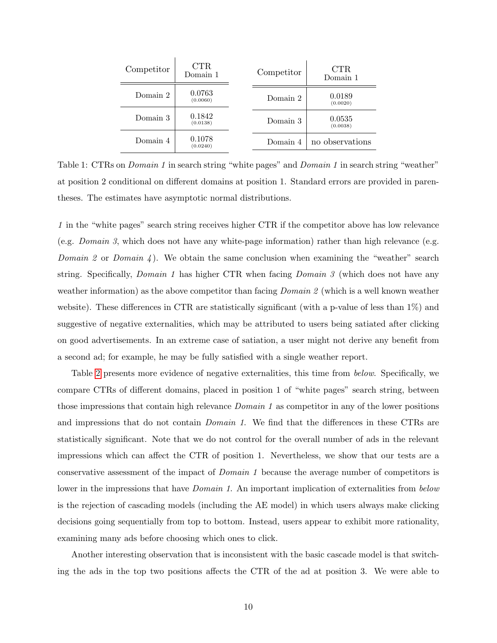| Competitor | $_{\rm CTR}$<br>Domain 1 | Competitor | <b>CTR</b><br>Domain 1 |
|------------|--------------------------|------------|------------------------|
| Domain 2   | 0.0763<br>(0.0060)       | Domain 2   | 0.0189<br>(0.0020)     |
| Domain 3   | 0.1842<br>(0.0138)       | Domain 3   | 0.0535<br>(0.0038)     |
| Domain 4   | 0.1078<br>(0.0240)       | Domain 4   | no observations        |

<span id="page-9-0"></span>Table 1: CTRs on *Domain 1* in search string "white pages" and *Domain 1* in search string "weather" at position 2 conditional on different domains at position 1. Standard errors are provided in parentheses. The estimates have asymptotic normal distributions.

1 in the "white pages" search string receives higher CTR if the competitor above has low relevance (e.g. *Domain 3*, which does not have any white-page information) rather than high relevance (e.g. Domain 2 or Domain 4). We obtain the same conclusion when examining the "weather" search string. Specifically, Domain 1 has higher CTR when facing Domain 3 (which does not have any weather information) as the above competitor than facing *Domain 2* (which is a well known weather website). These differences in CTR are statistically significant (with a p-value of less than 1%) and suggestive of negative externalities, which may be attributed to users being satiated after clicking on good advertisements. In an extreme case of satiation, a user might not derive any benefit from a second ad; for example, he may be fully satisfied with a single weather report.

Table [2](#page-10-0) presents more evidence of negative externalities, this time from below. Specifically, we compare CTRs of different domains, placed in position 1 of "white pages" search string, between those impressions that contain high relevance *Domain 1* as competitor in any of the lower positions and impressions that do not contain *Domain 1*. We find that the differences in these CTRs are statistically significant. Note that we do not control for the overall number of ads in the relevant impressions which can affect the CTR of position 1. Nevertheless, we show that our tests are a conservative assessment of the impact of Domain 1 because the average number of competitors is lower in the impressions that have *Domain 1*. An important implication of externalities from *below* is the rejection of cascading models (including the AE model) in which users always make clicking decisions going sequentially from top to bottom. Instead, users appear to exhibit more rationality, examining many ads before choosing which ones to click.

Another interesting observation that is inconsistent with the basic cascade model is that switching the ads in the top two positions affects the CTR of the ad at position 3. We were able to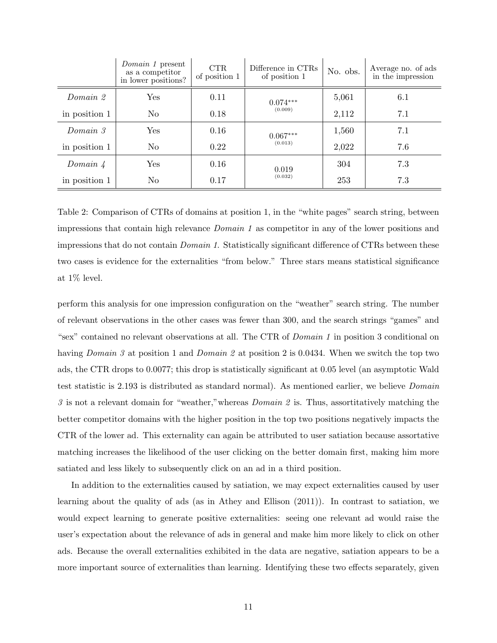|                 | <i>Domain 1</i> present<br>as a competitor<br>in lower positions? | <b>CTR</b><br>of position 1 | Difference in CTRs<br>of position 1 | No. obs. | Average no. of ads<br>in the impression |
|-----------------|-------------------------------------------------------------------|-----------------------------|-------------------------------------|----------|-----------------------------------------|
| Domain 2        | Yes                                                               | 0.11                        | $0.074***$                          | 5,061    | 6.1                                     |
| in position 1   | N <sub>o</sub>                                                    | 0.18                        | (0.009)                             | 2,112    | 7.1                                     |
| Domain 3        | Yes                                                               | 0.16                        | $0.067***$                          | 1,560    | 7.1                                     |
| in position 1   | No                                                                | 0.22                        | (0.013)                             | 2,022    | 7.6                                     |
| Domain $\angle$ | Yes                                                               | 0.16                        | 0.019                               | 304      | 7.3                                     |
| in position 1   | No                                                                | 0.17                        | (0.032)                             | 253      | 7.3                                     |

<span id="page-10-0"></span>Table 2: Comparison of CTRs of domains at position 1, in the "white pages" search string, between impressions that contain high relevance Domain 1 as competitor in any of the lower positions and impressions that do not contain *Domain 1*. Statistically significant difference of CTRs between these two cases is evidence for the externalities "from below." Three stars means statistical significance at 1% level.

perform this analysis for one impression configuration on the "weather" search string. The number of relevant observations in the other cases was fewer than 300, and the search strings "games" and "sex" contained no relevant observations at all. The CTR of Domain 1 in position 3 conditional on having *Domain* 3 at position 1 and *Domain* 2 at position 2 is 0.0434. When we switch the top two ads, the CTR drops to 0.0077; this drop is statistically significant at 0.05 level (an asymptotic Wald test statistic is 2.193 is distributed as standard normal). As mentioned earlier, we believe Domain  $\beta$  is not a relevant domain for "weather," whereas *Domain*  $\beta$  is. Thus, assortitatively matching the better competitor domains with the higher position in the top two positions negatively impacts the CTR of the lower ad. This externality can again be attributed to user satiation because assortative matching increases the likelihood of the user clicking on the better domain first, making him more satiated and less likely to subsequently click on an ad in a third position.

In addition to the externalities caused by satiation, we may expect externalities caused by user learning about the quality of ads (as in Athey and Ellison (2011)). In contrast to satiation, we would expect learning to generate positive externalities: seeing one relevant ad would raise the user's expectation about the relevance of ads in general and make him more likely to click on other ads. Because the overall externalities exhibited in the data are negative, satiation appears to be a more important source of externalities than learning. Identifying these two effects separately, given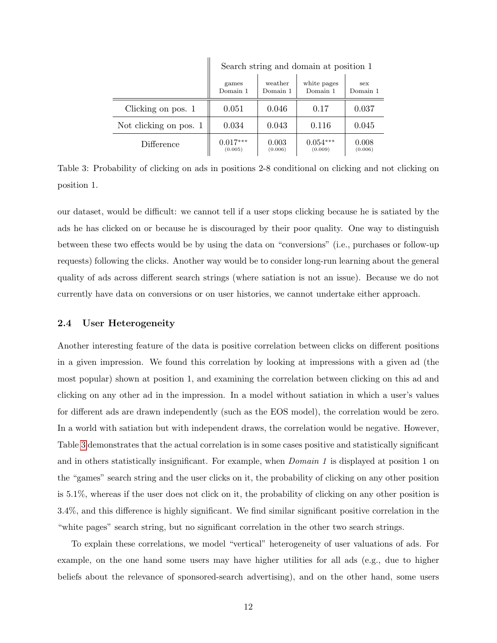|                        | pearen puring and domain av popiuon r |                     |                         |                  |  |
|------------------------|---------------------------------------|---------------------|-------------------------|------------------|--|
|                        | games<br>Domain 1                     | weather<br>Domain 1 | white pages<br>Domain 1 | sex<br>Domain 1  |  |
| Clicking on pos. 1     | 0.051                                 | 0.046               | 0.17                    | 0.037            |  |
| Not clicking on pos. 1 | 0.034                                 | 0.043               | 0.116                   | 0.045            |  |
| Difference             | $0.017***$<br>(0.005)                 | 0.003<br>(0.006)    | $0.054***$<br>(0.009)   | 0.008<br>(0.006) |  |

 $\mathbb{I}$ 

Search string and domain at position 1

<span id="page-11-0"></span>Table 3: Probability of clicking on ads in positions 2-8 conditional on clicking and not clicking on position 1.

our dataset, would be difficult: we cannot tell if a user stops clicking because he is satiated by the ads he has clicked on or because he is discouraged by their poor quality. One way to distinguish between these two effects would be by using the data on "conversions" (i.e., purchases or follow-up requests) following the clicks. Another way would be to consider long-run learning about the general quality of ads across different search strings (where satiation is not an issue). Because we do not currently have data on conversions or on user histories, we cannot undertake either approach.

#### 2.4 User Heterogeneity

Another interesting feature of the data is positive correlation between clicks on different positions in a given impression. We found this correlation by looking at impressions with a given ad (the most popular) shown at position 1, and examining the correlation between clicking on this ad and clicking on any other ad in the impression. In a model without satiation in which a user's values for different ads are drawn independently (such as the EOS model), the correlation would be zero. In a world with satiation but with independent draws, the correlation would be negative. However, Table [3](#page-11-0) demonstrates that the actual correlation is in some cases positive and statistically significant and in others statistically insignificant. For example, when *Domain 1* is displayed at position 1 on the "games" search string and the user clicks on it, the probability of clicking on any other position is 5.1%, whereas if the user does not click on it, the probability of clicking on any other position is 3.4%, and this difference is highly significant. We find similar significant positive correlation in the "white pages" search string, but no significant correlation in the other two search strings.

To explain these correlations, we model "vertical" heterogeneity of user valuations of ads. For example, on the one hand some users may have higher utilities for all ads (e.g., due to higher beliefs about the relevance of sponsored-search advertising), and on the other hand, some users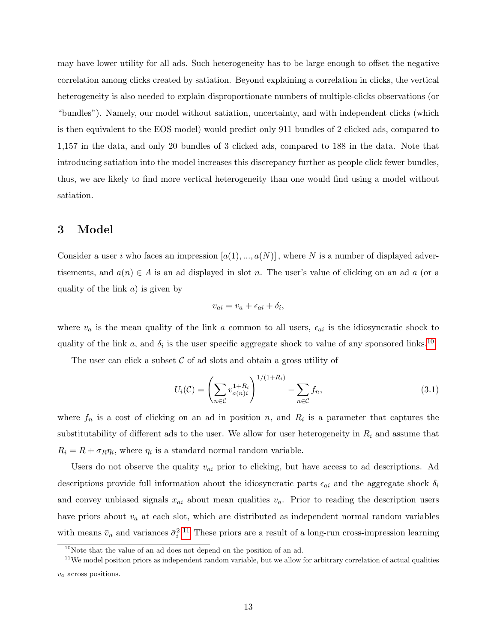may have lower utility for all ads. Such heterogeneity has to be large enough to offset the negative correlation among clicks created by satiation. Beyond explaining a correlation in clicks, the vertical heterogeneity is also needed to explain disproportionate numbers of multiple-clicks observations (or "bundles"). Namely, our model without satiation, uncertainty, and with independent clicks (which is then equivalent to the EOS model) would predict only 911 bundles of 2 clicked ads, compared to 1,157 in the data, and only 20 bundles of 3 clicked ads, compared to 188 in the data. Note that introducing satiation into the model increases this discrepancy further as people click fewer bundles, thus, we are likely to find more vertical heterogeneity than one would find using a model without satiation.

## <span id="page-12-0"></span>3 Model

Consider a user i who faces an impression  $[a(1),...,a(N)]$ , where N is a number of displayed advertisements, and  $a(n) \in A$  is an ad displayed in slot n. The user's value of clicking on an ad a (or a quality of the link  $a$ ) is given by

$$
v_{ai} = v_a + \epsilon_{ai} + \delta_i,
$$

where  $v_a$  is the mean quality of the link a common to all users,  $\epsilon_{ai}$  is the idiosyncratic shock to quality of the link a, and  $\delta_i$  is the user specific aggregate shock to value of any sponsored links.<sup>[10](#page-12-1)</sup>

The user can click a subset  $\mathcal C$  of ad slots and obtain a gross utility of

$$
U_i(\mathcal{C}) = \left(\sum_{n \in \mathcal{C}} v_{a(n)i}^{1+R_i} \right)^{1/(1+R_i)} - \sum_{n \in \mathcal{C}} f_n,
$$
\n(3.1)

where  $f_n$  is a cost of clicking on an ad in position n, and  $R_i$  is a parameter that captures the substitutability of different ads to the user. We allow for user heterogeneity in  $R_i$  and assume that  $R_i = R + \sigma_R \eta_i$ , where  $\eta_i$  is a standard normal random variable.

Users do not observe the quality  $v_{ai}$  prior to clicking, but have access to ad descriptions. Ad descriptions provide full information about the idiosyncratic parts  $\epsilon_{ai}$  and the aggregate shock  $\delta_i$ and convey unbiased signals  $x_{ai}$  about mean qualities  $v_a$ . Prior to reading the description users have priors about  $v_a$  at each slot, which are distributed as independent normal random variables with means  $\bar{v}_n$  and variances  $\bar{\sigma}_i^2$ .<sup>[11](#page-12-2)</sup> These priors are a result of a long-run cross-impression learning

<span id="page-12-2"></span><span id="page-12-1"></span> $10$ Note that the value of an ad does not depend on the position of an ad.

 $11$ We model position priors as independent random variable, but we allow for arbitrary correlation of actual qualities  $v_a$  across positions.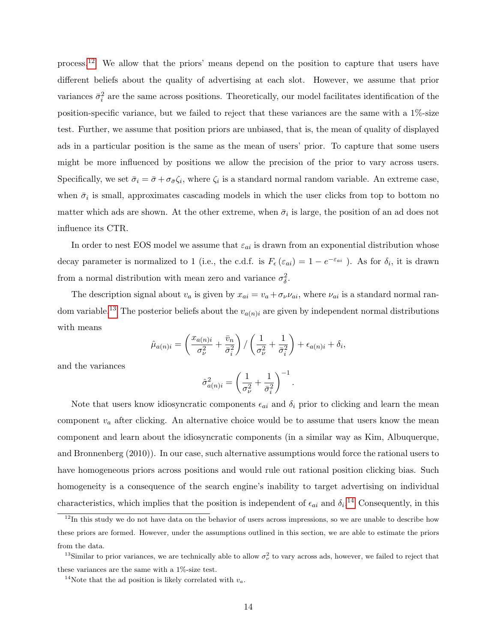process.[12](#page-13-0) We allow that the priors' means depend on the position to capture that users have different beliefs about the quality of advertising at each slot. However, we assume that prior variances  $\bar{\sigma}_i^2$  are the same across positions. Theoretically, our model facilitates identification of the position-specific variance, but we failed to reject that these variances are the same with a 1%-size test. Further, we assume that position priors are unbiased, that is, the mean of quality of displayed ads in a particular position is the same as the mean of users' prior. To capture that some users might be more influenced by positions we allow the precision of the prior to vary across users. Specifically, we set  $\bar{\sigma}_i = \bar{\sigma} + \sigma_{\bar{\sigma}} \zeta_i$ , where  $\zeta_i$  is a standard normal random variable. An extreme case, when  $\bar{\sigma}_i$  is small, approximates cascading models in which the user clicks from top to bottom no matter which ads are shown. At the other extreme, when  $\bar{\sigma}_i$  is large, the position of an ad does not influence its CTR.

In order to nest EOS model we assume that  $\varepsilon_{ai}$  is drawn from an exponential distribution whose decay parameter is normalized to 1 (i.e., the c.d.f. is  $F_{\epsilon}(\varepsilon_{ai}) = 1 - e^{-\varepsilon_{ai}}$ ). As for  $\delta_i$ , it is drawn from a normal distribution with mean zero and variance  $\sigma_{\delta}^2$ .

The description signal about  $v_a$  is given by  $x_{ai} = v_a + \sigma_{\nu} \nu_{ai}$ , where  $\nu_{ai}$  is a standard normal ran-dom variable.<sup>[13](#page-13-1)</sup> The posterior beliefs about the  $v_{a(n)i}$  are given by independent normal distributions with means

$$
\hat{\mu}_{a(n)i} = \left(\frac{x_{a(n)i}}{\sigma_{\nu}^2} + \frac{\bar{v}_n}{\bar{\sigma}_i^2}\right) / \left(\frac{1}{\sigma_{\nu}^2} + \frac{1}{\bar{\sigma}_i^2}\right) + \epsilon_{a(n)i} + \delta_i,
$$

and the variances

$$
\hat{\sigma}_{a(n)i}^2 = \left(\frac{1}{\sigma_{\nu}^2} + \frac{1}{\bar{\sigma}_{i}^2}\right)^{-1}.
$$

Note that users know idiosyncratic components  $\epsilon_{ai}$  and  $\delta_i$  prior to clicking and learn the mean component  $v_a$  after clicking. An alternative choice would be to assume that users know the mean component and learn about the idiosyncratic components (in a similar way as Kim, Albuquerque, and Bronnenberg (2010)). In our case, such alternative assumptions would force the rational users to have homogeneous priors across positions and would rule out rational position clicking bias. Such homogeneity is a consequence of the search engine's inability to target advertising on individual characteristics, which implies that the position is independent of  $\epsilon_{ai}$  and  $\delta_i$ .<sup>[14](#page-13-2)</sup> Consequently, in this

<span id="page-13-0"></span> $12$ In this study we do not have data on the behavior of users across impressions, so we are unable to describe how these priors are formed. However, under the assumptions outlined in this section, we are able to estimate the priors from the data.

<span id="page-13-1"></span><sup>&</sup>lt;sup>13</sup>Similar to prior variances, we are technically able to allow  $\sigma_{\nu}^2$  to vary across ads, however, we failed to reject that these variances are the same with a 1%-size test.

<span id="page-13-2"></span><sup>&</sup>lt;sup>14</sup>Note that the ad position is likely correlated with  $v_a$ .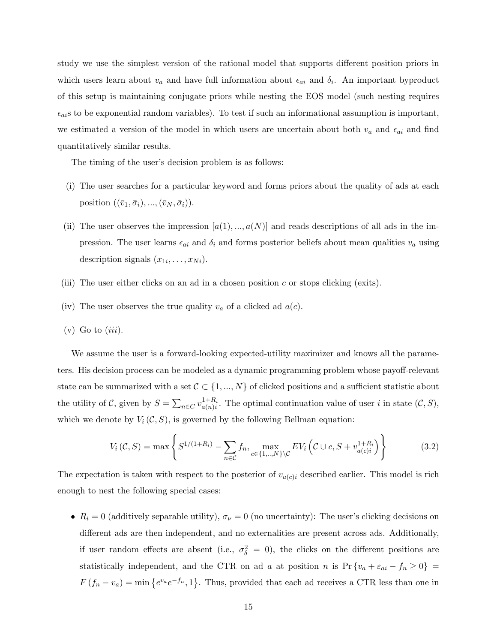study we use the simplest version of the rational model that supports different position priors in which users learn about  $v_a$  and have full information about  $\epsilon_{ai}$  and  $\delta_i$ . An important byproduct of this setup is maintaining conjugate priors while nesting the EOS model (such nesting requires  $\epsilon_{ai}$ s to be exponential random variables). To test if such an informational assumption is important, we estimated a version of the model in which users are uncertain about both  $v_a$  and  $\epsilon_{ai}$  and find quantitatively similar results.

The timing of the user's decision problem is as follows:

- (i) The user searches for a particular keyword and forms priors about the quality of ads at each position  $((\bar{v}_1, \bar{\sigma}_i), ..., (\bar{v}_N, \bar{\sigma}_i)).$
- (ii) The user observes the impression  $[a(1),...,a(N)]$  and reads descriptions of all ads in the impression. The user learns  $\epsilon_{ai}$  and  $\delta_i$  and forms posterior beliefs about mean qualities  $v_a$  using description signals  $(x_{1i},...,x_{Ni})$ .
- (iii) The user either clicks on an ad in a chosen position c or stops clicking (exits).
- (iv) The user observes the true quality  $v_a$  of a clicked ad  $a(c)$ .
- $(v)$  Go to  $(iii)$ .

We assume the user is a forward-looking expected-utility maximizer and knows all the parameters. His decision process can be modeled as a dynamic programming problem whose payoff-relevant state can be summarized with a set  $C \subset \{1, ..., N\}$  of clicked positions and a sufficient statistic about the utility of C, given by  $S = \sum_{n \in C} v_{a(n)i}^{1+R_i}$  $a_{a(n)i}^{1+R_i}$ . The optimal continuation value of user i in state  $(C, S)$ , which we denote by  $V_i(\mathcal{C}, S)$ , is governed by the following Bellman equation:

<span id="page-14-0"></span>
$$
V_i(C, S) = \max \left\{ S^{1/(1+R_i)} - \sum_{n \in C} f_n, \max_{c \in \{1, ..., N\} \setminus C} E V_i \left( C \cup c, S + v_{a(c)i}^{1+R_i} \right) \right\}
$$
(3.2)

The expectation is taken with respect to the posterior of  $v_{a(c)i}$  described earlier. This model is rich enough to nest the following special cases:

•  $R_i = 0$  (additively separable utility),  $\sigma_{\nu} = 0$  (no uncertainty): The user's clicking decisions on different ads are then independent, and no externalities are present across ads. Additionally, if user random effects are absent (i.e.,  $\sigma_{\delta}^2 = 0$ ), the clicks on the different positions are statistically independent, and the CTR on ad a at position n is  $Pr\{v_a + \varepsilon_{ai} - f_n \ge 0\}$  $F(f_n - v_a) = \min\{e^{v_a}e^{-f_n}, 1\}.$  Thus, provided that each ad receives a CTR less than one in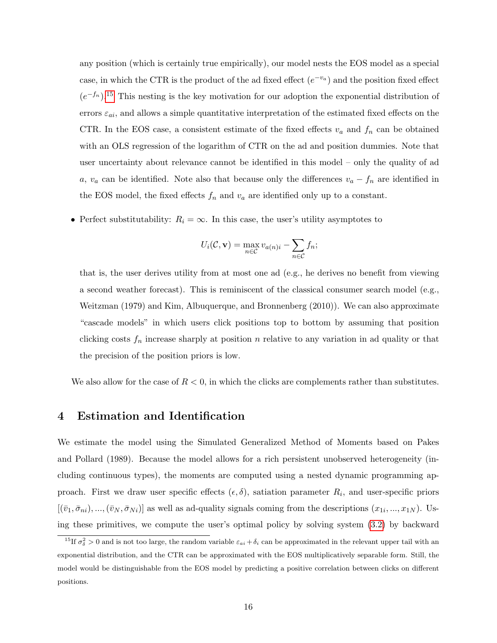any position (which is certainly true empirically), our model nests the EOS model as a special case, in which the CTR is the product of the ad fixed effect  $(e^{-v_a})$  and the position fixed effect  $(e^{-f_n})$ .<sup>[15](#page-15-1)</sup> This nesting is the key motivation for our adoption the exponential distribution of errors  $\varepsilon_{ai}$ , and allows a simple quantitative interpretation of the estimated fixed effects on the CTR. In the EOS case, a consistent estimate of the fixed effects  $v_a$  and  $f_n$  can be obtained with an OLS regression of the logarithm of CTR on the ad and position dummies. Note that user uncertainty about relevance cannot be identified in this model – only the quality of ad a,  $v_a$  can be identified. Note also that because only the differences  $v_a - f_n$  are identified in the EOS model, the fixed effects  $f_n$  and  $v_a$  are identified only up to a constant.

• Perfect substitutability:  $R_i = \infty$ . In this case, the user's utility asymptotes to

$$
U_i(\mathcal{C}, \mathbf{v}) = \max_{n \in \mathcal{C}} v_{a(n)i} - \sum_{n \in \mathcal{C}} f_n;
$$

that is, the user derives utility from at most one ad (e.g., he derives no benefit from viewing a second weather forecast). This is reminiscent of the classical consumer search model (e.g., Weitzman (1979) and Kim, Albuquerque, and Bronnenberg (2010)). We can also approximate "cascade models" in which users click positions top to bottom by assuming that position clicking costs  $f_n$  increase sharply at position n relative to any variation in ad quality or that the precision of the position priors is low.

We also allow for the case of  $R < 0$ , in which the clicks are complements rather than substitutes.

## <span id="page-15-0"></span>4 Estimation and Identification

We estimate the model using the Simulated Generalized Method of Moments based on Pakes and Pollard (1989). Because the model allows for a rich persistent unobserved heterogeneity (including continuous types), the moments are computed using a nested dynamic programming approach. First we draw user specific effects  $(\epsilon, \delta)$ , satiation parameter  $R_i$ , and user-specific priors  $[(\bar{v}_1, \bar{\sigma}_{ni}), ..., (\bar{v}_N, \bar{\sigma}_{Ni})]$  as well as ad-quality signals coming from the descriptions  $(x_{1i}, ..., x_{1N})$ . Using these primitives, we compute the user's optimal policy by solving system [\(3.2\)](#page-14-0) by backward

<span id="page-15-1"></span><sup>&</sup>lt;sup>15</sup>If  $\sigma_{\delta}^2 > 0$  and is not too large, the random variable  $\varepsilon_{ai} + \delta_i$  can be approximated in the relevant upper tail with an exponential distribution, and the CTR can be approximated with the EOS multiplicatively separable form. Still, the model would be distinguishable from the EOS model by predicting a positive correlation between clicks on different positions.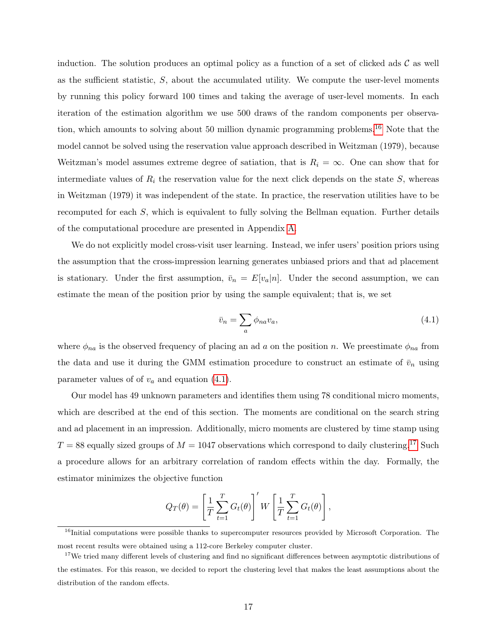induction. The solution produces an optimal policy as a function of a set of clicked ads  $\mathcal C$  as well as the sufficient statistic,  $S$ , about the accumulated utility. We compute the user-level moments by running this policy forward 100 times and taking the average of user-level moments. In each iteration of the estimation algorithm we use 500 draws of the random components per observa-tion, which amounts to solving about 50 million dynamic programming problems.<sup>[16](#page-16-0)</sup> Note that the model cannot be solved using the reservation value approach described in Weitzman (1979), because Weitzman's model assumes extreme degree of satiation, that is  $R_i = \infty$ . One can show that for intermediate values of  $R_i$  the reservation value for the next click depends on the state  $S$ , whereas in Weitzman (1979) it was independent of the state. In practice, the reservation utilities have to be recomputed for each  $S$ , which is equivalent to fully solving the Bellman equation. Further details of the computational procedure are presented in Appendix [A.](#page-37-0)

We do not explicitly model cross-visit user learning. Instead, we infer users' position priors using the assumption that the cross-impression learning generates unbiased priors and that ad placement is stationary. Under the first assumption,  $\bar{v}_n = E[v_a|n]$ . Under the second assumption, we can estimate the mean of the position prior by using the sample equivalent; that is, we set

<span id="page-16-1"></span>
$$
\bar{v}_n = \sum_a \phi_{na} v_a,\tag{4.1}
$$

where  $\phi_{na}$  is the observed frequency of placing an ad a on the position n. We preestimate  $\phi_{na}$  from the data and use it during the GMM estimation procedure to construct an estimate of  $\bar{v}_n$  using parameter values of of  $v_a$  and equation [\(4.1\)](#page-16-1).

Our model has 49 unknown parameters and identifies them using 78 conditional micro moments, which are described at the end of this section. The moments are conditional on the search string and ad placement in an impression. Additionally, micro moments are clustered by time stamp using  $T = 88$  equally sized groups of  $M = 1047$  observations which correspond to daily clustering.<sup>[17](#page-16-2)</sup> Such a procedure allows for an arbitrary correlation of random effects within the day. Formally, the estimator minimizes the objective function

$$
Q_T(\theta) = \left[\frac{1}{T} \sum_{t=1}^T G_t(\theta)\right]' W \left[\frac{1}{T} \sum_{t=1}^T G_t(\theta)\right],
$$

<span id="page-16-0"></span><sup>&</sup>lt;sup>16</sup>Initial computations were possible thanks to supercomputer resources provided by Microsoft Corporation. The most recent results were obtained using a 112-core Berkeley computer cluster.

<span id="page-16-2"></span><sup>&</sup>lt;sup>17</sup>We tried many different levels of clustering and find no significant differences between asymptotic distributions of the estimates. For this reason, we decided to report the clustering level that makes the least assumptions about the distribution of the random effects.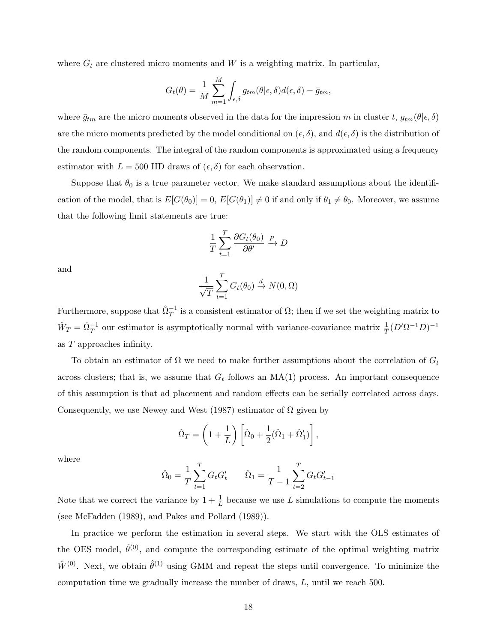where  $G_t$  are clustered micro moments and W is a weighting matrix. In particular,

$$
G_t(\theta) = \frac{1}{M} \sum_{m=1}^{M} \int_{\epsilon,\delta} g_{tm}(\theta | \epsilon, \delta) d(\epsilon, \delta) - \bar{g}_{tm},
$$

where  $\bar{g}_{tm}$  are the micro moments observed in the data for the impression m in cluster t,  $g_{tm}(\theta|\epsilon,\delta)$ are the micro moments predicted by the model conditional on  $(\epsilon, \delta)$ , and  $d(\epsilon, \delta)$  is the distribution of the random components. The integral of the random components is approximated using a frequency estimator with  $L = 500$  IID draws of  $(\epsilon, \delta)$  for each observation.

Suppose that  $\theta_0$  is a true parameter vector. We make standard assumptions about the identification of the model, that is  $E[G(\theta_0)] = 0$ ,  $E[G(\theta_1)] \neq 0$  if and only if  $\theta_1 \neq \theta_0$ . Moreover, we assume that the following limit statements are true:

$$
\frac{1}{T} \sum_{t=1}^{T} \frac{\partial G_t(\theta_0)}{\partial \theta'} \xrightarrow{P} D
$$

and

$$
\frac{1}{\sqrt{T}}\sum_{t=1}^T G_t(\theta_0) \xrightarrow{d} N(0,\Omega)
$$

Furthermore, suppose that  $\hat{\Omega}_T^{-1}$  is a consistent estimator of  $\Omega$ ; then if we set the weighting matrix to  $\hat{W}_T = \hat{\Omega}_T^{-1}$  our estimator is asymptotically normal with variance-covariance matrix  $\frac{1}{T}(D'\Omega^{-1}D)^{-1}$ as T approaches infinity.

To obtain an estimator of  $\Omega$  we need to make further assumptions about the correlation of  $G_t$ across clusters; that is, we assume that  $G_t$  follows an  $MA(1)$  process. An important consequence of this assumption is that ad placement and random effects can be serially correlated across days. Consequently, we use Newey and West (1987) estimator of  $\Omega$  given by

$$
\hat{\Omega}_T = \left(1 + \frac{1}{L}\right) \left[\hat{\Omega}_0 + \frac{1}{2}(\hat{\Omega}_1 + \hat{\Omega}'_1)\right],
$$

where

$$
\hat{\Omega}_0 = \frac{1}{T} \sum_{t=1}^T G_t G_t' \qquad \hat{\Omega}_1 = \frac{1}{T-1} \sum_{t=2}^T G_t G_{t-1}'
$$

Note that we correct the variance by  $1 + \frac{1}{L}$  because we use L simulations to compute the moments (see McFadden (1989), and Pakes and Pollard (1989)).

In practice we perform the estimation in several steps. We start with the OLS estimates of the OES model,  $\hat{\theta}^{(0)}$ , and compute the corresponding estimate of the optimal weighting matrix  $\hat{W}^{(0)}$ . Next, we obtain  $\hat{\theta}^{(1)}$  using GMM and repeat the steps until convergence. To minimize the computation time we gradually increase the number of draws, L, until we reach 500.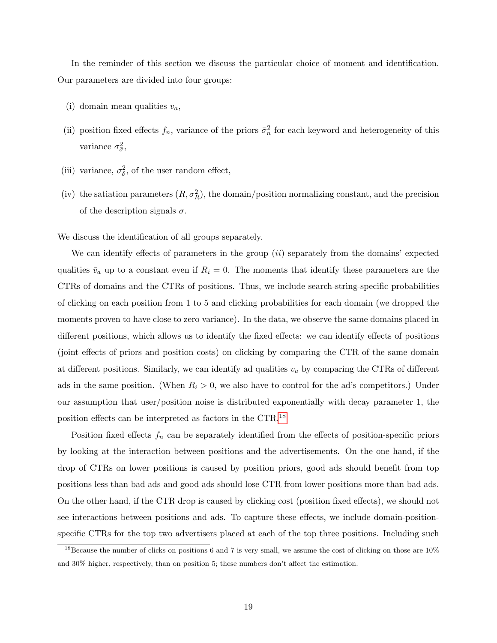In the reminder of this section we discuss the particular choice of moment and identification. Our parameters are divided into four groups:

- (i) domain mean qualities  $v_a$ ,
- (ii) position fixed effects  $f_n$ , variance of the priors  $\bar{\sigma}_n^2$  for each keyword and heterogeneity of this variance  $\sigma_{\bar{\sigma}}^2$ ,
- (iii) variance,  $\sigma_{\delta}^2$ , of the user random effect,
- (iv) the satiation parameters  $(R, \sigma_R^2)$ , the domain/position normalizing constant, and the precision of the description signals  $\sigma$ .

We discuss the identification of all groups separately.

We can identify effects of parameters in the group *(ii)* separately from the domains' expected qualities  $\bar{v}_a$  up to a constant even if  $R_i = 0$ . The moments that identify these parameters are the CTRs of domains and the CTRs of positions. Thus, we include search-string-specific probabilities of clicking on each position from 1 to 5 and clicking probabilities for each domain (we dropped the moments proven to have close to zero variance). In the data, we observe the same domains placed in different positions, which allows us to identify the fixed effects: we can identify effects of positions (joint effects of priors and position costs) on clicking by comparing the CTR of the same domain at different positions. Similarly, we can identify ad qualities  $v_a$  by comparing the CTRs of different ads in the same position. (When  $R_i > 0$ , we also have to control for the ad's competitors.) Under our assumption that user/position noise is distributed exponentially with decay parameter 1, the position effects can be interpreted as factors in the CTR.[18](#page-18-0)

Position fixed effects  $f_n$  can be separately identified from the effects of position-specific priors by looking at the interaction between positions and the advertisements. On the one hand, if the drop of CTRs on lower positions is caused by position priors, good ads should benefit from top positions less than bad ads and good ads should lose CTR from lower positions more than bad ads. On the other hand, if the CTR drop is caused by clicking cost (position fixed effects), we should not see interactions between positions and ads. To capture these effects, we include domain-positionspecific CTRs for the top two advertisers placed at each of the top three positions. Including such

<span id="page-18-0"></span><sup>&</sup>lt;sup>18</sup>Because the number of clicks on positions 6 and 7 is very small, we assume the cost of clicking on those are  $10\%$ and 30% higher, respectively, than on position 5; these numbers don't affect the estimation.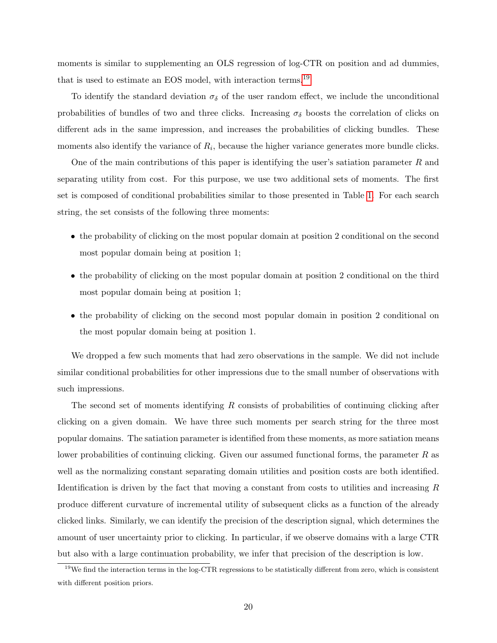moments is similar to supplementing an OLS regression of log-CTR on position and ad dummies, that is used to estimate an EOS model, with interaction terms.[19](#page-19-0)

To identify the standard deviation  $\sigma_{\delta}$  of the user random effect, we include the unconditional probabilities of bundles of two and three clicks. Increasing  $\sigma_{\delta}$  boosts the correlation of clicks on different ads in the same impression, and increases the probabilities of clicking bundles. These moments also identify the variance of  $R_i$ , because the higher variance generates more bundle clicks.

One of the main contributions of this paper is identifying the user's satiation parameter  $R$  and separating utility from cost. For this purpose, we use two additional sets of moments. The first set is composed of conditional probabilities similar to those presented in Table [1.](#page-9-0) For each search string, the set consists of the following three moments:

- the probability of clicking on the most popular domain at position 2 conditional on the second most popular domain being at position 1;
- the probability of clicking on the most popular domain at position 2 conditional on the third most popular domain being at position 1;
- the probability of clicking on the second most popular domain in position 2 conditional on the most popular domain being at position 1.

We dropped a few such moments that had zero observations in the sample. We did not include similar conditional probabilities for other impressions due to the small number of observations with such impressions.

The second set of moments identifying R consists of probabilities of continuing clicking after clicking on a given domain. We have three such moments per search string for the three most popular domains. The satiation parameter is identified from these moments, as more satiation means lower probabilities of continuing clicking. Given our assumed functional forms, the parameter  $R$  as well as the normalizing constant separating domain utilities and position costs are both identified. Identification is driven by the fact that moving a constant from costs to utilities and increasing R produce different curvature of incremental utility of subsequent clicks as a function of the already clicked links. Similarly, we can identify the precision of the description signal, which determines the amount of user uncertainty prior to clicking. In particular, if we observe domains with a large CTR but also with a large continuation probability, we infer that precision of the description is low.

<span id="page-19-0"></span> $19$ We find the interaction terms in the log-CTR regressions to be statistically different from zero, which is consistent with different position priors.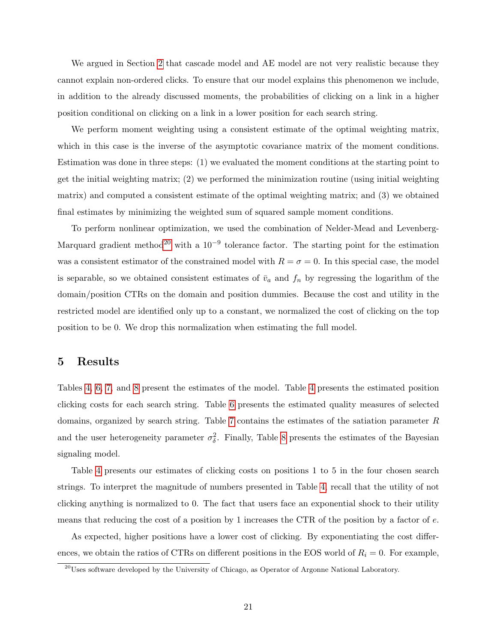We argued in Section [2](#page-6-1) that cascade model and AE model are not very realistic because they cannot explain non-ordered clicks. To ensure that our model explains this phenomenon we include, in addition to the already discussed moments, the probabilities of clicking on a link in a higher position conditional on clicking on a link in a lower position for each search string.

We perform moment weighting using a consistent estimate of the optimal weighting matrix, which in this case is the inverse of the asymptotic covariance matrix of the moment conditions. Estimation was done in three steps: (1) we evaluated the moment conditions at the starting point to get the initial weighting matrix; (2) we performed the minimization routine (using initial weighting matrix) and computed a consistent estimate of the optimal weighting matrix; and (3) we obtained final estimates by minimizing the weighted sum of squared sample moment conditions.

To perform nonlinear optimization, we used the combination of Nelder-Mead and Levenberg-Marquard gradient method<sup>[20](#page-20-1)</sup> with a  $10^{-9}$  tolerance factor. The starting point for the estimation was a consistent estimator of the constrained model with  $R = \sigma = 0$ . In this special case, the model is separable, so we obtained consistent estimates of  $\bar{v}_a$  and  $f_n$  by regressing the logarithm of the domain/position CTRs on the domain and position dummies. Because the cost and utility in the restricted model are identified only up to a constant, we normalized the cost of clicking on the top position to be 0. We drop this normalization when estimating the full model.

## <span id="page-20-0"></span>5 Results

Tables [4,](#page-21-0) [6,](#page-22-0) [7,](#page-22-1) and [8](#page-22-2) present the estimates of the model. Table [4](#page-21-0) presents the estimated position clicking costs for each search string. Table [6](#page-22-0) presents the estimated quality measures of selected domains, organized by search string. Table [7](#page-22-1) contains the estimates of the satiation parameter R and the user heterogeneity parameter  $\sigma_{\delta}^2$ . Finally, Table [8](#page-22-2) presents the estimates of the Bayesian signaling model.

Table [4](#page-21-0) presents our estimates of clicking costs on positions 1 to 5 in the four chosen search strings. To interpret the magnitude of numbers presented in Table [4,](#page-21-0) recall that the utility of not clicking anything is normalized to 0. The fact that users face an exponential shock to their utility means that reducing the cost of a position by 1 increases the CTR of the position by a factor of  $e$ .

As expected, higher positions have a lower cost of clicking. By exponentiating the cost differences, we obtain the ratios of CTRs on different positions in the EOS world of  $R_i = 0$ . For example,

<span id="page-20-1"></span> $^{20}$ Uses software developed by the University of Chicago, as Operator of Argonne National Laboratory.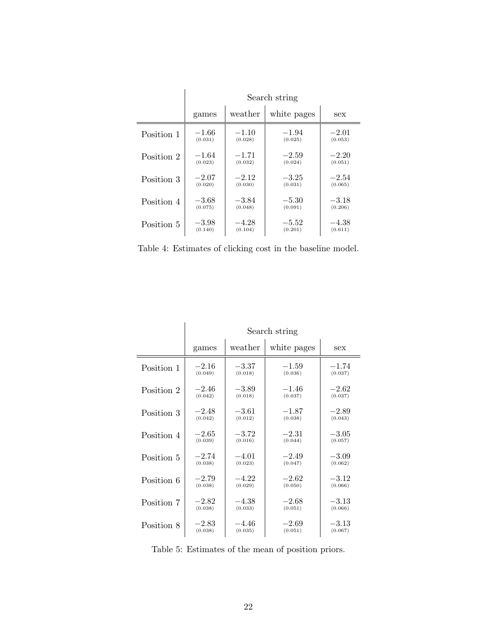|            | Search string |         |             |         |  |  |  |
|------------|---------------|---------|-------------|---------|--|--|--|
|            | games         | weather | white pages | sex     |  |  |  |
| Position 1 | $-1.66$       | $-1.10$ | $-1.94$     | $-2.01$ |  |  |  |
|            | (0.031)       | (0.028) | (0.025)     | (0.053) |  |  |  |
| Position 2 | $-1.64$       | $-1.71$ | $-2.59$     | $-2.20$ |  |  |  |
|            | (0.023)       | (0.032) | (0.024)     | (0.051) |  |  |  |
| Position 3 | $-2.07$       | $-2.12$ | $-3.25$     | $-2.54$ |  |  |  |
|            | (0.020)       | (0.030) | (0.031)     | (0.065) |  |  |  |
| Position 4 | $-3.68$       | $-3.84$ | $-5.30$     | $-3.18$ |  |  |  |
|            | (0.075)       | (0.048) | (0.091)     | (0.206) |  |  |  |
| Position 5 | $-3.98$       | $-4.28$ | $-5.52$     | $-4.38$ |  |  |  |
|            | (0.140)       | (0.104) | (0.201)     | (0.611) |  |  |  |

<span id="page-21-0"></span>Table 4: Estimates of clicking cost in the baseline model.

|            | Search string |         |             |         |  |  |
|------------|---------------|---------|-------------|---------|--|--|
|            | games         | weather | white pages | sex     |  |  |
| Position 1 | $-2.16$       | $-3.37$ | $-1.59$     | $-1.74$ |  |  |
|            | (0.049)       | (0.018) | (0.036)     | (0.037) |  |  |
| Position 2 | $-2.46$       | $-3.89$ | $-1.46$     | $-2.62$ |  |  |
|            | (0.042)       | (0.018) | (0.037)     | (0.037) |  |  |
| Position 3 | $-2.48$       | $-3.61$ | $-1.87$     | $-2.89$ |  |  |
|            | (0.042)       | (0.012) | (0.038)     | (0.043) |  |  |
| Position 4 | $-2.65$       | $-3.72$ | $-2.31$     | $-3.05$ |  |  |
|            | (0.039)       | (0.016) | (0.044)     | (0.057) |  |  |
| Position 5 | $-2.74$       | $-4.01$ | $-2.49$     | $-3.09$ |  |  |
|            | (0.038)       | (0.023) | (0.047)     | (0.062) |  |  |
| Position 6 | $-2.79$       | $-4.22$ | $-2.62$     | $-3.12$ |  |  |
|            | (0.038)       | (0.029) | (0.050)     | (0.066) |  |  |
| Position 7 | $-2.82$       | $-4.38$ | $-2.68$     | $-3.13$ |  |  |
|            | (0.038)       | (0.033) | (0.051)     | (0.066) |  |  |
| Position 8 | $-2.83$       | $-4.46$ | $-2.69$     | $-3.13$ |  |  |
|            | (0.038)       | (0.035) | (0.051)     | (0.067) |  |  |

<span id="page-21-1"></span>Table 5: Estimates of the mean of position priors.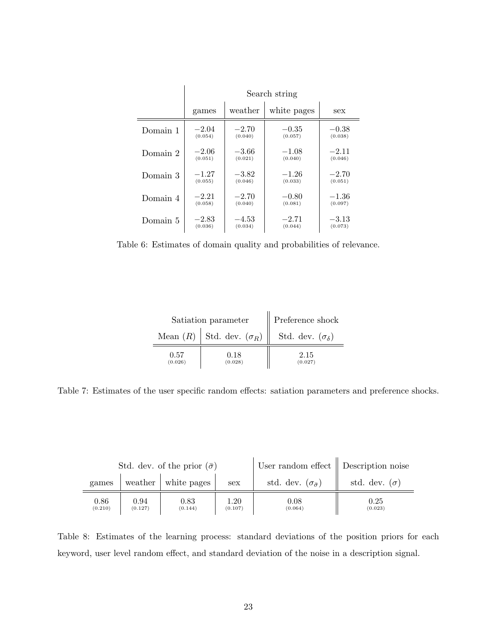|          | Search string |         |             |         |  |  |  |
|----------|---------------|---------|-------------|---------|--|--|--|
|          | games         | weather | white pages | sex     |  |  |  |
| Domain 1 | $-2.04$       | $-2.70$ | $-0.35$     | $-0.38$ |  |  |  |
|          | (0.054)       | (0.040) | (0.057)     | (0.038) |  |  |  |
| Domain 2 | $-2.06$       | $-3.66$ | $-1.08$     | $-2.11$ |  |  |  |
|          | (0.051)       | (0.021) | (0.040)     | (0.046) |  |  |  |
| Domain 3 | $-1.27$       | $-3.82$ | $-1.26\,$   | $-2.70$ |  |  |  |
|          | (0.055)       | (0.046) | (0.033)     | (0.051) |  |  |  |
| Domain 4 | $-2.21$       | $-2.70$ | $-0.80$     | $-1.36$ |  |  |  |
|          | (0.058)       | (0.040) | (0.081)     | (0.097) |  |  |  |
| Domain 5 | $-2.83$       | $-4.53$ | $-2.71$     | $-3.13$ |  |  |  |
|          | (0.036)       | (0.034) | (0.044)     | (0.073) |  |  |  |

<span id="page-22-0"></span>Table 6: Estimates of domain quality and probabilities of relevance.

|                 | Satiation parameter                 | Preference shock              |
|-----------------|-------------------------------------|-------------------------------|
|                 | Mean $(R)$   Std. dev. $(\sigma_R)$ | Std. dev. $(\sigma_{\delta})$ |
| 0.57<br>(0.026) | 0.18<br>(0.028)                     | 2.15<br>(0.027)               |

<span id="page-22-1"></span>Table 7: Estimates of the user specific random effects: satiation parameters and preference shocks.

| Std. dev. of the prior $(\bar{\sigma})$ |                 |                             |                 | User random effect $\parallel$ Description noise |                      |
|-----------------------------------------|-----------------|-----------------------------|-----------------|--------------------------------------------------|----------------------|
| games                                   |                 | weather $\vert$ white pages | sex             | std. dev. $(\sigma_{\bar{\sigma}})$              | std. dev. $(\sigma)$ |
| 0.86<br>(0.210)                         | 0.94<br>(0.127) | 0.83<br>(0.144)             | 1.20<br>(0.107) | 0.08<br>(0.064)                                  | 0.25<br>(0.023)      |

<span id="page-22-2"></span>Table 8: Estimates of the learning process: standard deviations of the position priors for each keyword, user level random effect, and standard deviation of the noise in a description signal.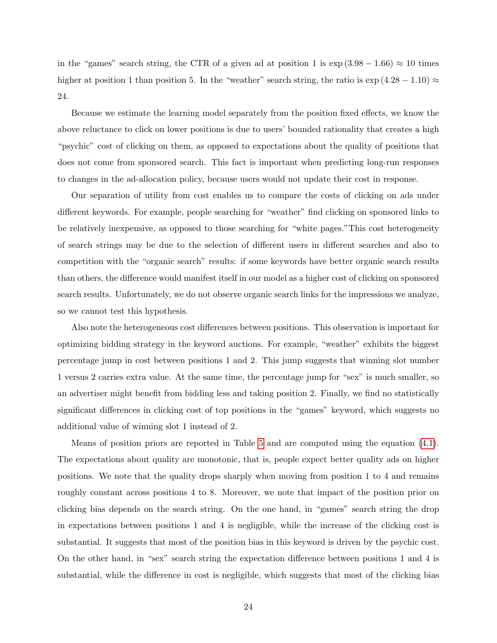in the "games" search string, the CTR of a given ad at position 1 is  $\exp(3.98 - 1.66) \approx 10$  times higher at position 1 than position 5. In the "weather" search string, the ratio is  $\exp(4.28 - 1.10) \approx$ 24.

Because we estimate the learning model separately from the position fixed effects, we know the above reluctance to click on lower positions is due to users' bounded rationality that creates a high "psychic" cost of clicking on them, as opposed to expectations about the quality of positions that does not come from sponsored search. This fact is important when predicting long-run responses to changes in the ad-allocation policy, because users would not update their cost in response.

Our separation of utility from cost enables us to compare the costs of clicking on ads under different keywords. For example, people searching for "weather" find clicking on sponsored links to be relatively inexpensive, as opposed to those searching for "white pages."This cost heterogeneity of search strings may be due to the selection of different users in different searches and also to competition with the "organic search" results: if some keywords have better organic search results than others, the difference would manifest itself in our model as a higher cost of clicking on sponsored search results. Unfortunately, we do not observe organic search links for the impressions we analyze, so we cannot test this hypothesis.

Also note the heterogeneous cost differences between positions. This observation is important for optimizing bidding strategy in the keyword auctions. For example, "weather" exhibits the biggest percentage jump in cost between positions 1 and 2. This jump suggests that winning slot number 1 versus 2 carries extra value. At the same time, the percentage jump for "sex" is much smaller, so an advertiser might benefit from bidding less and taking position 2. Finally, we find no statistically significant differences in clicking cost of top positions in the "games" keyword, which suggests no additional value of winning slot 1 instead of 2.

Means of position priors are reported in Table [5](#page-21-1) and are computed using the equation [\(4.1\)](#page-16-1). The expectations about quality are monotonic, that is, people expect better quality ads on higher positions. We note that the quality drops sharply when moving from position 1 to 4 and remains roughly constant across positions 4 to 8. Moreover, we note that impact of the position prior on clicking bias depends on the search string. On the one hand, in "games" search string the drop in expectations between positions 1 and 4 is negligible, while the increase of the clicking cost is substantial. It suggests that most of the position bias in this keyword is driven by the psychic cost. On the other hand, in "sex" search string the expectation difference between positions 1 and 4 is substantial, while the difference in cost is negligible, which suggests that most of the clicking bias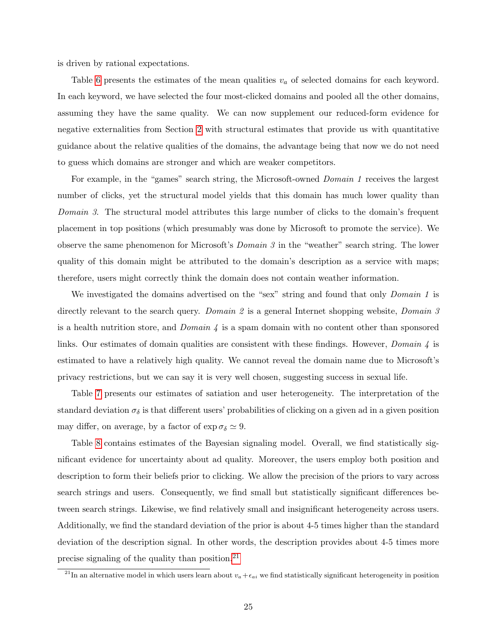is driven by rational expectations.

Table [6](#page-22-0) presents the estimates of the mean qualities  $v_a$  of selected domains for each keyword. In each keyword, we have selected the four most-clicked domains and pooled all the other domains, assuming they have the same quality. We can now supplement our reduced-form evidence for negative externalities from Section [2](#page-6-1) with structural estimates that provide us with quantitative guidance about the relative qualities of the domains, the advantage being that now we do not need to guess which domains are stronger and which are weaker competitors.

For example, in the "games" search string, the Microsoft-owned *Domain 1* receives the largest number of clicks, yet the structural model yields that this domain has much lower quality than Domain 3. The structural model attributes this large number of clicks to the domain's frequent placement in top positions (which presumably was done by Microsoft to promote the service). We observe the same phenomenon for Microsoft's Domain 3 in the "weather" search string. The lower quality of this domain might be attributed to the domain's description as a service with maps; therefore, users might correctly think the domain does not contain weather information.

We investigated the domains advertised on the "sex" string and found that only *Domain 1* is directly relevant to the search query. Domain 2 is a general Internet shopping website, Domain 3 is a health nutrition store, and  $Domain \neq$  is a spam domain with no content other than sponsored links. Our estimates of domain qualities are consistent with these findings. However, *Domain 4* is estimated to have a relatively high quality. We cannot reveal the domain name due to Microsoft's privacy restrictions, but we can say it is very well chosen, suggesting success in sexual life.

Table [7](#page-22-1) presents our estimates of satiation and user heterogeneity. The interpretation of the standard deviation  $\sigma_{\delta}$  is that different users' probabilities of clicking on a given ad in a given position may differ, on average, by a factor of  $\exp \sigma_{\delta} \simeq 9$ .

Table [8](#page-22-2) contains estimates of the Bayesian signaling model. Overall, we find statistically significant evidence for uncertainty about ad quality. Moreover, the users employ both position and description to form their beliefs prior to clicking. We allow the precision of the priors to vary across search strings and users. Consequently, we find small but statistically significant differences between search strings. Likewise, we find relatively small and insignificant heterogeneity across users. Additionally, we find the standard deviation of the prior is about 4-5 times higher than the standard deviation of the description signal. In other words, the description provides about 4-5 times more precise signaling of the quality than position.[21](#page-24-0)

<span id="page-24-0"></span><sup>&</sup>lt;sup>21</sup>In an alternative model in which users learn about  $v_a + \epsilon_{ai}$  we find statistically significant heterogeneity in position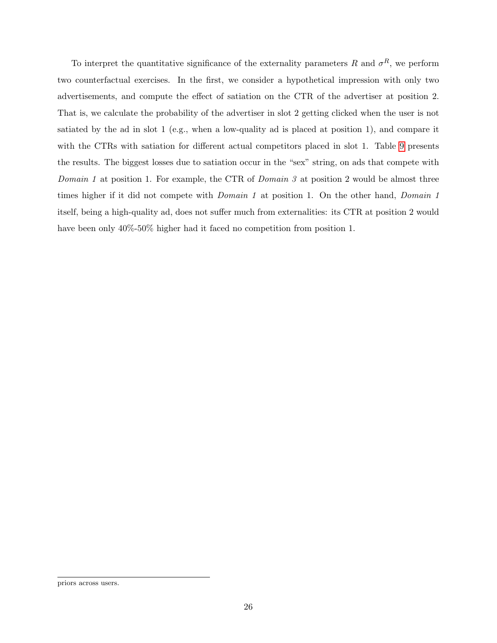To interpret the quantitative significance of the externality parameters R and  $\sigma^R$ , we perform two counterfactual exercises. In the first, we consider a hypothetical impression with only two advertisements, and compute the effect of satiation on the CTR of the advertiser at position 2. That is, we calculate the probability of the advertiser in slot 2 getting clicked when the user is not satiated by the ad in slot 1 (e.g., when a low-quality ad is placed at position 1), and compare it with the CTRs with satiation for different actual competitors placed in slot 1. Table [9](#page-26-0) presents the results. The biggest losses due to satiation occur in the "sex" string, on ads that compete with Domain 1 at position 1. For example, the CTR of Domain 3 at position 2 would be almost three times higher if it did not compete with *Domain 1* at position 1. On the other hand, *Domain 1* itself, being a high-quality ad, does not suffer much from externalities: its CTR at position 2 would have been only  $40\%$ -50% higher had it faced no competition from position 1.

priors across users.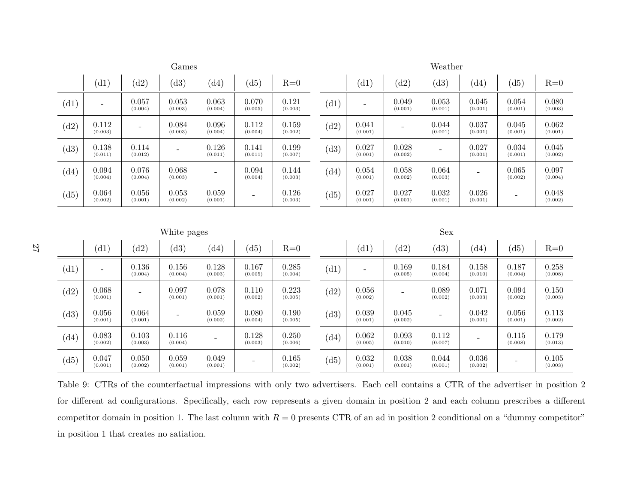<span id="page-26-0"></span>

|                             |                          |                          | Games                    |                          |                          |                  |                             |                          |                          | Weather                  |                    |                          |                  |
|-----------------------------|--------------------------|--------------------------|--------------------------|--------------------------|--------------------------|------------------|-----------------------------|--------------------------|--------------------------|--------------------------|--------------------|--------------------------|------------------|
|                             | (d1)                     | (d2)                     | (d3)                     | $\left( d4\right)$       | (d5)                     | $R=0$            |                             | (d1)                     | (d2)                     | (d3)                     | $\left( d4\right)$ | (d5)                     | $R=0$            |
| (d1)                        | $\overline{\phantom{a}}$ | 0.057<br>(0.004)         | 0.053<br>(0.003)         | 0.063<br>(0.004)         | 0.070<br>(0.005)         | 0.121<br>(0.003) | $\left( \mathrm{d}1\right)$ | $\overline{\phantom{0}}$ | 0.049<br>(0.001)         | 0.053<br>(0.001)         | 0.045<br>(0.001)   | 0.054<br>(0.001)         | 0.080<br>(0.003) |
| (d2)                        | 0.112<br>(0.003)         | $\overline{\phantom{a}}$ | 0.084<br>(0.003)         | 0.096<br>(0.004)         | 0.112<br>(0.004)         | 0.159<br>(0.002) | (d2)                        | 0.041<br>(0.001)         | $\overline{\phantom{0}}$ | 0.044<br>(0.001)         | 0.037<br>(0.001)   | 0.045<br>(0.001)         | 0.062<br>(0.001) |
| (d3)                        | 0.138<br>(0.011)         | 0.114<br>(0.012)         |                          | 0.126<br>(0.011)         | 0.141<br>(0.011)         | 0.199<br>(0.007) | (d3)                        | 0.027<br>(0.001)         | 0.028<br>(0.002)         | $\overline{\phantom{0}}$ | 0.027<br>(0.001)   | 0.034<br>(0.001)         | 0.045<br>(0.002) |
| $\left( d4\right)$          | 0.094<br>(0.004)         | 0.076<br>(0.004)         | 0.068<br>(0.003)         | $\overline{\phantom{a}}$ | 0.094<br>(0.004)         | 0.144<br>(0.003) | $\left( d4\right)$          | 0.054<br>(0.001)         | 0.058<br>(0.002)         | 0.064<br>(0.003)         |                    | 0.065<br>(0.002)         | 0.097<br>(0.004) |
| (d5)                        | 0.064<br>(0.002)         | 0.056<br>(0.001)         | 0.053<br>(0.002)         | 0.059<br>(0.001)         | $\overline{\phantom{0}}$ | 0.126<br>(0.003) | (d5)                        | 0.027<br>(0.001)         | 0.027<br>(0.001)         | 0.032<br>(0.001)         | 0.026<br>(0.001)   | $\overline{\phantom{a}}$ | 0.048<br>(0.002) |
|                             |                          |                          |                          |                          |                          |                  |                             |                          |                          |                          |                    |                          |                  |
|                             |                          |                          |                          |                          |                          |                  |                             |                          |                          |                          |                    |                          |                  |
|                             |                          |                          | White pages              |                          |                          |                  |                             |                          |                          | Sex                      |                    |                          |                  |
|                             | (d1)                     | (d2)                     | (d3)                     | $\left( d4\right)$       | (d5)                     | $R=0$            |                             | (d1)                     | (d2)                     | (d3)                     | $\left( d4\right)$ | (d5)                     | $R=0$            |
| $\left( \mathrm{d}1\right)$ | $\overline{\phantom{a}}$ | 0.136<br>(0.004)         | 0.156<br>(0.004)         | 0.128<br>(0.003)         | 0.167<br>(0.005)         | 0.285<br>(0.004) | (d1)                        | $\overline{\phantom{a}}$ | 0.169<br>(0.005)         | 0.184<br>(0.004)         | 0.158<br>(0.010)   | 0.187<br>(0.004)         | 0.258<br>(0.008) |
| (d2)                        | 0.068<br>(0.001)         | $\overline{\phantom{0}}$ | 0.097<br>(0.001)         | 0.078<br>(0.001)         | 0.110<br>(0.002)         | 0.223<br>(0.005) | (d2)                        | 0.056<br>(0.002)         | $\overline{\phantom{0}}$ | 0.089<br>(0.002)         | 0.071<br>(0.003)   | 0.094<br>(0.002)         | 0.150<br>(0.003) |
| (d3)                        | 0.056<br>(0.001)         | 0.064<br>(0.001)         | $\overline{\phantom{a}}$ | 0.059<br>(0.002)         | 0.080<br>(0.004)         | 0.190<br>(0.005) | (d3)                        | 0.039<br>(0.001)         | 0.045<br>(0.002)         | $\overline{\phantom{0}}$ | 0.042<br>(0.001)   | 0.056<br>(0.001)         | 0.113<br>(0.002) |
| $\left( d4\right)$          | 0.083<br>(0.002)         | 0.103<br>(0.003)         | 0.116<br>(0.004)         |                          | 0.128<br>(0.003)         | 0.250<br>(0.006) | $\left( d4\right)$          | 0.062<br>(0.005)         | 0.093<br>(0.010)         | 0.112<br>(0.007)         |                    | 0.115<br>(0.008)         | 0.179<br>(0.013) |

Table 9: CTRs of the counterfactual impressions with only two advertisers. Each cell contains <sup>a</sup> CTR of the advertiser in position 2for different ad configurations. Specifically, each row represents <sup>a</sup> given domain in position 2 and each column prescribes <sup>a</sup> differentcompetitor domain in position 1. The last column with  $R = 0$  presents CTR of an ad in position 2 conditional on a "dummy competitor" in position 1 that creates no satiation.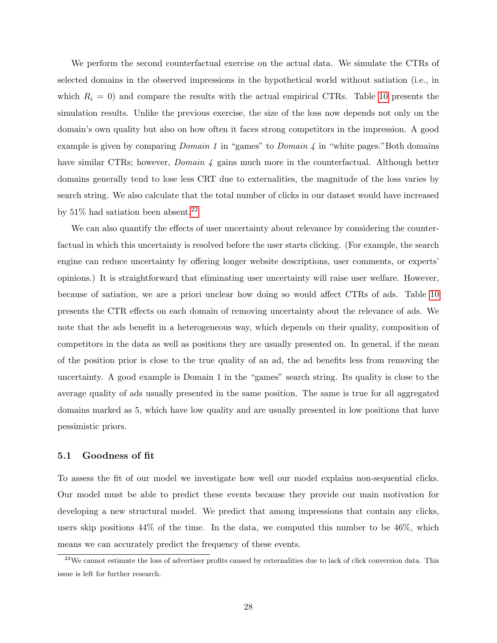We perform the second counterfactual exercise on the actual data. We simulate the CTRs of selected domains in the observed impressions in the hypothetical world without satiation (i.e., in which  $R_i = 0$ ) and compare the results with the actual empirical CTRs. Table [10](#page-28-0) presents the simulation results. Unlike the previous exercise, the size of the loss now depends not only on the domain's own quality but also on how often it faces strong competitors in the impression. A good example is given by comparing *Domain 1* in "games" to *Domain 4* in "white pages." Both domains have similar CTRs; however, *Domain 4* gains much more in the counterfactual. Although better domains generally tend to lose less CRT due to externalities, the magnitude of the loss varies by search string. We also calculate that the total number of clicks in our dataset would have increased by  $51\%$  had satiation been absent.<sup>[22](#page-27-0)</sup>

We can also quantify the effects of user uncertainty about relevance by considering the counterfactual in which this uncertainty is resolved before the user starts clicking. (For example, the search engine can reduce uncertainty by offering longer website descriptions, user comments, or experts' opinions.) It is straightforward that eliminating user uncertainty will raise user welfare. However, because of satiation, we are a priori unclear how doing so would affect CTRs of ads. Table [10](#page-28-0) presents the CTR effects on each domain of removing uncertainty about the relevance of ads. We note that the ads benefit in a heterogeneous way, which depends on their quality, composition of competitors in the data as well as positions they are usually presented on. In general, if the mean of the position prior is close to the true quality of an ad, the ad benefits less from removing the uncertainty. A good example is Domain 1 in the "games" search string. Its quality is close to the average quality of ads usually presented in the same position. The same is true for all aggregated domains marked as 5, which have low quality and are usually presented in low positions that have pessimistic priors.

## 5.1 Goodness of fit

To assess the fit of our model we investigate how well our model explains non-sequential clicks. Our model must be able to predict these events because they provide our main motivation for developing a new structural model. We predict that among impressions that contain any clicks, users skip positions  $44\%$  of the time. In the data, we computed this number to be  $46\%$ , which means we can accurately predict the frequency of these events.

<span id="page-27-0"></span> $22$ We cannot estimate the loss of advertiser profits caused by externalities due to lack of click conversion data. This issue is left for further research.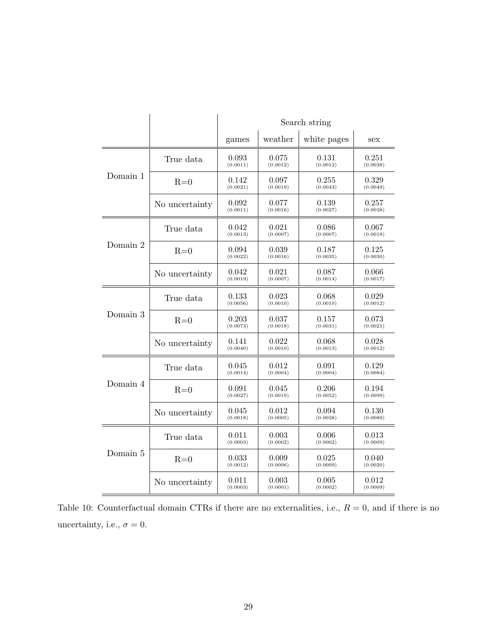|          |                | Search string     |                   |                   |                   |  |
|----------|----------------|-------------------|-------------------|-------------------|-------------------|--|
|          |                | games             | weather           | white pages       | sex               |  |
|          | True data      | 0.093<br>(0.0011) | 0.075<br>(0.0012) | 0.131<br>(0.0012) | 0.251<br>(0.0038) |  |
| Domain 1 | $R=0$          | 0.142<br>(0.0021) | 0.097<br>(0.0019) | 0.255<br>(0.0043) | 0.329<br>(0.0049) |  |
|          | No uncertainty | 0.092<br>(0.0011) | 0.077<br>(0.0016) | 0.139<br>(0.0027) | 0.257<br>(0.0038) |  |
|          | True data      | 0.042<br>(0.0013) | 0.021<br>(0.0007) | 0.086<br>(0.0007) | 0.067<br>(0.0018) |  |
| Domain 2 | $R=0$          | 0.094<br>(0.0022) | 0.039<br>(0.0016) | 0.187<br>(0.0035) | 0.125<br>(0.0030) |  |
|          | No uncertainty | 0.042<br>(0.0019) | 0.021<br>(0.0007) | 0.087<br>(0.0014) | 0.066<br>(0.0017) |  |
|          | True data      | 0.133<br>(0.0056) | 0.023<br>(0.0010) | 0.068<br>(0.0010) | 0.029<br>(0.0012) |  |
| Domain 3 | $R=0$          | 0.203<br>(0.0073) | 0.037<br>(0.0018) | 0.157<br>(0.0031) | 0.073<br>(0.0021) |  |
|          | No uncertainty | 0.141<br>(0.0040) | 0.022<br>(0.0010) | 0.068<br>(0.0013) | 0.028<br>(0.0012) |  |
|          | True data      | 0.045<br>(0.0014) | 0.012<br>(0.0004) | 0.091<br>(0.0004) | 0.129<br>(0.0084) |  |
| Domain 4 | $R=0$          | 0.091<br>(0.0027) | 0.045<br>(0.0019) | 0.206<br>(0.0052) | 0.194<br>(0.0099) |  |
|          | No uncertainty | 0.045<br>(0.0018) | 0.012<br>(0.0005) | 0.094<br>(0.0038) | 0.130<br>(0.0089) |  |
|          | True data      | 0.011<br>(0.0003) | 0.003<br>(0.0002) | 0.006<br>(0.0002) | 0.013<br>(0.0009) |  |
| Domain 5 | $R=0$          | 0.033<br>(0.0012) | 0.009<br>(0.0006) | 0.025<br>(0.0009) | 0.040<br>(0.0020) |  |
|          | No uncertainty | 0.011<br>(0.0003) | 0.003<br>(0.0001) | 0.005<br>(0.0002) | 0.012<br>(0.0009) |  |

<span id="page-28-0"></span>Table 10: Counterfactual domain CTRs if there are no externalities, i.e.,  $R = 0$ , and if there is no uncertainty, i.e.,  $\sigma=0.$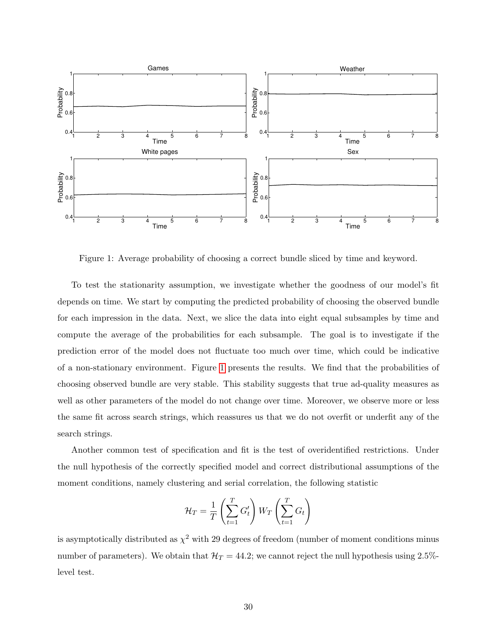

<span id="page-29-0"></span>Figure 1: Average probability of choosing a correct bundle sliced by time and keyword.

To test the stationarity assumption, we investigate whether the goodness of our model's fit depends on time. We start by computing the predicted probability of choosing the observed bundle for each impression in the data. Next, we slice the data into eight equal subsamples by time and compute the average of the probabilities for each subsample. The goal is to investigate if the prediction error of the model does not fluctuate too much over time, which could be indicative of a non-stationary environment. Figure [1](#page-29-0) presents the results. We find that the probabilities of choosing observed bundle are very stable. This stability suggests that true ad-quality measures as well as other parameters of the model do not change over time. Moreover, we observe more or less the same fit across search strings, which reassures us that we do not overfit or underfit any of the search strings.

Another common test of specification and fit is the test of overidentified restrictions. Under the null hypothesis of the correctly specified model and correct distributional assumptions of the moment conditions, namely clustering and serial correlation, the following statistic

$$
\mathcal{H}_T = \frac{1}{T} \left( \sum_{t=1}^T G'_t \right) W_T \left( \sum_{t=1}^T G_t \right)
$$

is asymptotically distributed as  $\chi^2$  with 29 degrees of freedom (number of moment conditions minus number of parameters). We obtain that  $\mathcal{H}_T = 44.2$ ; we cannot reject the null hypothesis using 2.5%level test.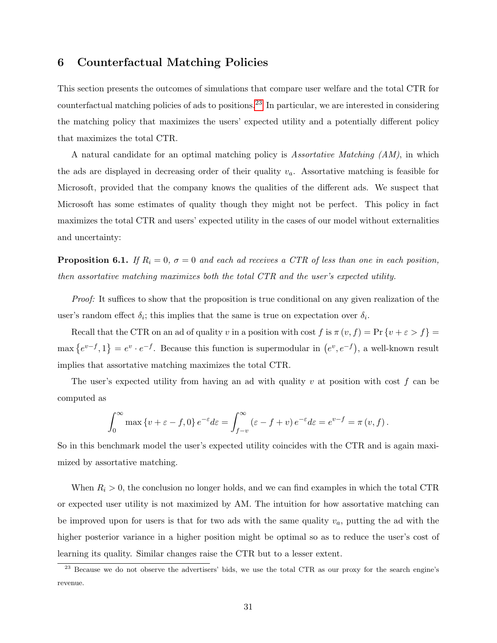## <span id="page-30-0"></span>6 Counterfactual Matching Policies

This section presents the outcomes of simulations that compare user welfare and the total CTR for counterfactual matching policies of ads to positions.[23](#page-30-1) In particular, we are interested in considering the matching policy that maximizes the users' expected utility and a potentially different policy that maximizes the total CTR.

A natural candidate for an optimal matching policy is Assortative Matching (AM), in which the ads are displayed in decreasing order of their quality  $v_a$ . Assortative matching is feasible for Microsoft, provided that the company knows the qualities of the different ads. We suspect that Microsoft has some estimates of quality though they might not be perfect. This policy in fact maximizes the total CTR and users' expected utility in the cases of our model without externalities and uncertainty:

**Proposition 6.1.** If  $R_i = 0$ ,  $\sigma = 0$  and each ad receives a CTR of less than one in each position, then assortative matching maximizes both the total CTR and the user's expected utility.

Proof: It suffices to show that the proposition is true conditional on any given realization of the user's random effect  $\delta_i$ ; this implies that the same is true on expectation over  $\delta_i$ .

Recall that the CTR on an ad of quality v in a position with cost f is  $\pi(v, f) = \Pr\{v + \varepsilon > f\}$  $\max\{e^{v-f},1\}=e^v\cdot e^{-f}$ . Because this function is supermodular in  $(e^v,e^{-f})$ , a well-known result implies that assortative matching maximizes the total CTR.

The user's expected utility from having an ad with quality v at position with cost f can be computed as

$$
\int_0^\infty \max\left\{v+\varepsilon-f,0\right\} e^{-\varepsilon}d\varepsilon = \int_{f-v}^\infty \left(\varepsilon-f+v\right)e^{-\varepsilon}d\varepsilon = e^{v-f} = \pi(v,f).
$$

So in this benchmark model the user's expected utility coincides with the CTR and is again maximized by assortative matching.

When  $R_i > 0$ , the conclusion no longer holds, and we can find examples in which the total CTR or expected user utility is not maximized by AM. The intuition for how assortative matching can be improved upon for users is that for two ads with the same quality  $v_a$ , putting the ad with the higher posterior variance in a higher position might be optimal so as to reduce the user's cost of learning its quality. Similar changes raise the CTR but to a lesser extent.

<span id="page-30-1"></span><sup>&</sup>lt;sup>23</sup> Because we do not observe the advertisers' bids, we use the total CTR as our proxy for the search engine's revenue.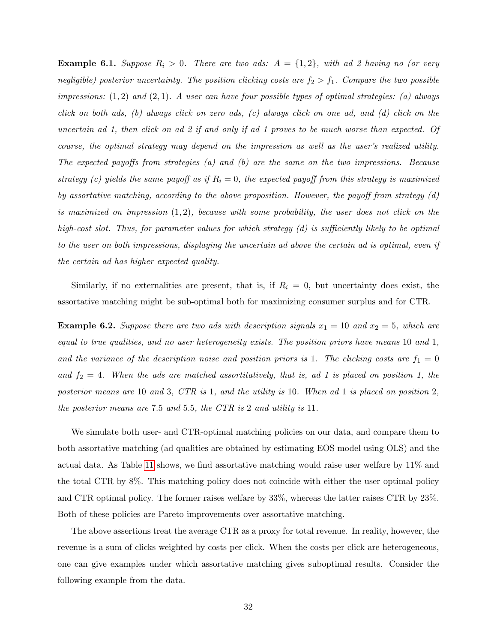**Example 6.1.** Suppose  $R_i > 0$ . There are two ads:  $A = \{1, 2\}$ , with ad 2 having no (or very negligible) posterior uncertainty. The position clicking costs are  $f_2 > f_1$ . Compare the two possible impressions:  $(1, 2)$  and  $(2, 1)$ . A user can have four possible types of optimal strategies: (a) always click on both ads, (b) always click on zero ads, (c) always click on one ad, and (d) click on the uncertain ad 1, then click on ad 2 if and only if ad 1 proves to be much worse than expected. Of course, the optimal strategy may depend on the impression as well as the user's realized utility. The expected payoffs from strategies (a) and (b) are the same on the two impressions. Because strategy (c) yields the same payoff as if  $R_i = 0$ , the expected payoff from this strategy is maximized by assortative matching, according to the above proposition. However, the payoff from strategy (d) is maximized on impression  $(1, 2)$ , because with some probability, the user does not click on the high-cost slot. Thus, for parameter values for which strategy (d) is sufficiently likely to be optimal to the user on both impressions, displaying the uncertain ad above the certain ad is optimal, even if the certain ad has higher expected quality.

Similarly, if no externalities are present, that is, if  $R<sub>i</sub> = 0$ , but uncertainty does exist, the assortative matching might be sub-optimal both for maximizing consumer surplus and for CTR.

**Example 6.2.** Suppose there are two ads with description signals  $x_1 = 10$  and  $x_2 = 5$ , which are equal to true qualities, and no user heterogeneity exists. The position priors have means 10 and 1, and the variance of the description noise and position priors is 1. The clicking costs are  $f_1 = 0$ and  $f_2 = 4$ . When the ads are matched assortitatively, that is, ad 1 is placed on position 1, the posterior means are 10 and 3, CTR is 1, and the utility is 10. When ad 1 is placed on position 2, the posterior means are 7.5 and 5.5, the CTR is 2 and utility is 11.

We simulate both user- and CTR-optimal matching policies on our data, and compare them to both assortative matching (ad qualities are obtained by estimating EOS model using OLS) and the actual data. As Table [11](#page-32-0) shows, we find assortative matching would raise user welfare by 11% and the total CTR by 8%. This matching policy does not coincide with either the user optimal policy and CTR optimal policy. The former raises welfare by 33%, whereas the latter raises CTR by 23%. Both of these policies are Pareto improvements over assortative matching.

The above assertions treat the average CTR as a proxy for total revenue. In reality, however, the revenue is a sum of clicks weighted by costs per click. When the costs per click are heterogeneous, one can give examples under which assortative matching gives suboptimal results. Consider the following example from the data.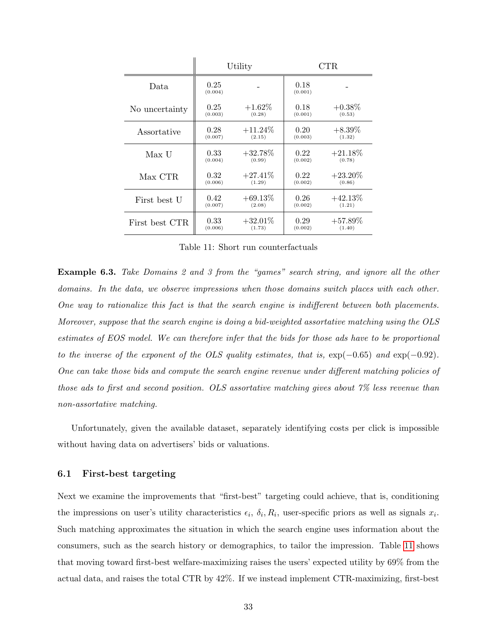|                |                 | Utility    |                 | CTR        |
|----------------|-----------------|------------|-----------------|------------|
| Data           | 0.25<br>(0.004) |            | 0.18<br>(0.001) |            |
| No uncertainty | 0.25            | $+1.62\%$  | 0.18            | $+0.38\%$  |
|                | (0.003)         | (0.28)     | (0.001)         | (0.53)     |
| Assortative    | 0.28            | $+11.24\%$ | 0.20            | $+8.39\%$  |
|                | (0.007)         | (2.15)     | (0.003)         | (1.32)     |
| Max U          | 0.33            | $+32.78%$  | 0.22            | $+21.18\%$ |
|                | (0.004)         | (0.99)     | (0.002)         | (0.78)     |
| Max CTR        | 0.32            | $+27.41\%$ | 0.22            | $+23.20\%$ |
|                | (0.006)         | (1.29)     | (0.002)         | (0.86)     |
| First best U   | 0.42            | $+69.13\%$ | 0.26            | $+42.13\%$ |
|                | (0.007)         | (2.08)     | (0.002)         | (1.21)     |
| First best CTR | 0.33            | $+32.01\%$ | 0.29            | $+57.89\%$ |
|                | (0.006)         | (1.73)     | (0.002)         | (1.40)     |

<span id="page-32-0"></span>Table 11: Short run counterfactuals

Example 6.3. Take Domains 2 and 3 from the "games" search string, and ignore all the other domains. In the data, we observe impressions when those domains switch places with each other. One way to rationalize this fact is that the search engine is indifferent between both placements. Moreover, suppose that the search engine is doing a bid-weighted assortative matching using the OLS estimates of EOS model. We can therefore infer that the bids for those ads have to be proportional to the inverse of the exponent of the OLS quality estimates, that is,  $\exp(-0.65)$  and  $\exp(-0.92)$ . One can take those bids and compute the search engine revenue under different matching policies of those ads to first and second position. OLS assortative matching gives about 7% less revenue than non-assortative matching.

Unfortunately, given the available dataset, separately identifying costs per click is impossible without having data on advertisers' bids or valuations.

## 6.1 First-best targeting

Next we examine the improvements that "first-best" targeting could achieve, that is, conditioning the impressions on user's utility characteristics  $\epsilon_i$ ,  $\delta_i$ ,  $R_i$ , user-specific priors as well as signals  $x_i$ . Such matching approximates the situation in which the search engine uses information about the consumers, such as the search history or demographics, to tailor the impression. Table [11](#page-32-0) shows that moving toward first-best welfare-maximizing raises the users' expected utility by 69% from the actual data, and raises the total CTR by 42%. If we instead implement CTR-maximizing, first-best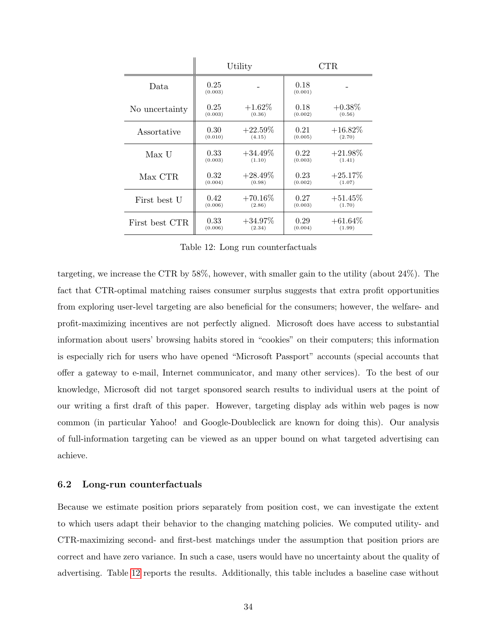|                |                 | Utility    |                 | CTR        |
|----------------|-----------------|------------|-----------------|------------|
| Data           | 0.25<br>(0.003) |            | 0.18<br>(0.001) |            |
| No uncertainty | 0.25            | $+1.62\%$  | 0.18            | $+0.38\%$  |
|                | (0.003)         | (0.36)     | (0.002)         | (0.56)     |
| Assortative    | 0.30            | $+22.59\%$ | 0.21            | $+16.82\%$ |
|                | (0.010)         | (4.15)     | (0.005)         | (2.70)     |
| Max U          | 0.33            | $+34.49\%$ | 0.22            | $+21.98\%$ |
|                | (0.003)         | (1.10)     | (0.003)         | (1.41)     |
| Max CTR        | 0.32            | $+28.49\%$ | 0.23            | $+25.17\%$ |
|                | (0.004)         | (0.98)     | (0.002)         | (1.07)     |
| First best U   | 0.42            | $+70.16\%$ | 0.27            | $+51.45\%$ |
|                | (0.006)         | (2.86)     | (0.003)         | (1.70)     |
| First best CTR | 0.33            | $+34.97\%$ | 0.29            | $+61.64\%$ |
|                | (0.006)         | (2.34)     | (0.004)         | (1.99)     |

<span id="page-33-0"></span>Table 12: Long run counterfactuals

targeting, we increase the CTR by 58%, however, with smaller gain to the utility (about 24%). The fact that CTR-optimal matching raises consumer surplus suggests that extra profit opportunities from exploring user-level targeting are also beneficial for the consumers; however, the welfare- and profit-maximizing incentives are not perfectly aligned. Microsoft does have access to substantial information about users' browsing habits stored in "cookies" on their computers; this information is especially rich for users who have opened "Microsoft Passport" accounts (special accounts that offer a gateway to e-mail, Internet communicator, and many other services). To the best of our knowledge, Microsoft did not target sponsored search results to individual users at the point of our writing a first draft of this paper. However, targeting display ads within web pages is now common (in particular Yahoo! and Google-Doubleclick are known for doing this). Our analysis of full-information targeting can be viewed as an upper bound on what targeted advertising can achieve.

## 6.2 Long-run counterfactuals

Because we estimate position priors separately from position cost, we can investigate the extent to which users adapt their behavior to the changing matching policies. We computed utility- and CTR-maximizing second- and first-best matchings under the assumption that position priors are correct and have zero variance. In such a case, users would have no uncertainty about the quality of advertising. Table [12](#page-33-0) reports the results. Additionally, this table includes a baseline case without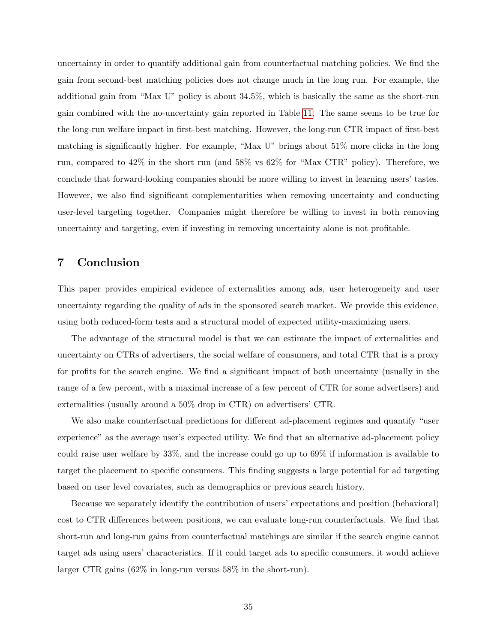uncertainty in order to quantify additional gain from counterfactual matching policies. We find the gain from second-best matching policies does not change much in the long run. For example, the additional gain from "Max U" policy is about 34.5%, which is basically the same as the short-run gain combined with the no-uncertainty gain reported in Table [11.](#page-32-0) The same seems to be true for the long-run welfare impact in first-best matching. However, the long-run CTR impact of first-best matching is significantly higher. For example, "Max U" brings about 51% more clicks in the long run, compared to 42% in the short run (and 58% vs 62% for "Max CTR" policy). Therefore, we conclude that forward-looking companies should be more willing to invest in learning users' tastes. However, we also find significant complementarities when removing uncertainty and conducting user-level targeting together. Companies might therefore be willing to invest in both removing uncertainty and targeting, even if investing in removing uncertainty alone is not profitable.

# <span id="page-34-0"></span>7 Conclusion

This paper provides empirical evidence of externalities among ads, user heterogeneity and user uncertainty regarding the quality of ads in the sponsored search market. We provide this evidence, using both reduced-form tests and a structural model of expected utility-maximizing users.

The advantage of the structural model is that we can estimate the impact of externalities and uncertainty on CTRs of advertisers, the social welfare of consumers, and total CTR that is a proxy for profits for the search engine. We find a significant impact of both uncertainty (usually in the range of a few percent, with a maximal increase of a few percent of CTR for some advertisers) and externalities (usually around a 50% drop in CTR) on advertisers' CTR.

We also make counterfactual predictions for different ad-placement regimes and quantify "user experience" as the average user's expected utility. We find that an alternative ad-placement policy could raise user welfare by 33%, and the increase could go up to 69% if information is available to target the placement to specific consumers. This finding suggests a large potential for ad targeting based on user level covariates, such as demographics or previous search history.

Because we separately identify the contribution of users' expectations and position (behavioral) cost to CTR differences between positions, we can evaluate long-run counterfactuals. We find that short-run and long-run gains from counterfactual matchings are similar if the search engine cannot target ads using users' characteristics. If it could target ads to specific consumers, it would achieve larger CTR gains (62% in long-run versus 58% in the short-run).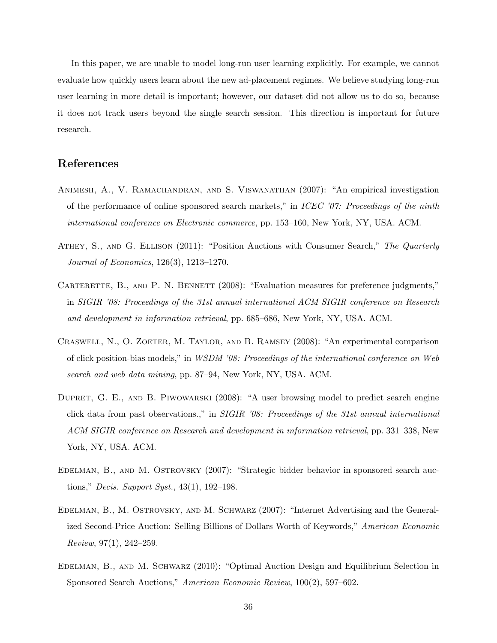In this paper, we are unable to model long-run user learning explicitly. For example, we cannot evaluate how quickly users learn about the new ad-placement regimes. We believe studying long-run user learning in more detail is important; however, our dataset did not allow us to do so, because it does not track users beyond the single search session. This direction is important for future research.

## References

- Animesh, A., V. Ramachandran, and S. Viswanathan (2007): "An empirical investigation of the performance of online sponsored search markets," in ICEC '07: Proceedings of the ninth international conference on Electronic commerce, pp. 153–160, New York, NY, USA. ACM.
- ATHEY, S., AND G. ELLISON (2011): "Position Auctions with Consumer Search," The Quarterly Journal of Economics, 126(3), 1213–1270.
- CARTERETTE, B., AND P. N. BENNETT (2008): "Evaluation measures for preference judgments," in SIGIR '08: Proceedings of the 31st annual international ACM SIGIR conference on Research and development in information retrieval, pp. 685–686, New York, NY, USA. ACM.
- Craswell, N., O. Zoeter, M. Taylor, and B. Ramsey (2008): "An experimental comparison of click position-bias models," in WSDM '08: Proceedings of the international conference on Web search and web data mining, pp. 87–94, New York, NY, USA. ACM.
- DUPRET, G. E., AND B. PIWOWARSKI (2008): "A user browsing model to predict search engine click data from past observations.," in SIGIR '08: Proceedings of the 31st annual international ACM SIGIR conference on Research and development in information retrieval, pp. 331–338, New York, NY, USA. ACM.
- Edelman, B., and M. Ostrovsky (2007): "Strategic bidder behavior in sponsored search auctions," Decis. Support Syst., 43(1), 192–198.
- Edelman, B., M. Ostrovsky, and M. Schwarz (2007): "Internet Advertising and the Generalized Second-Price Auction: Selling Billions of Dollars Worth of Keywords," American Economic Review, 97(1), 242–259.
- Edelman, B., and M. Schwarz (2010): "Optimal Auction Design and Equilibrium Selection in Sponsored Search Auctions," American Economic Review, 100(2), 597–602.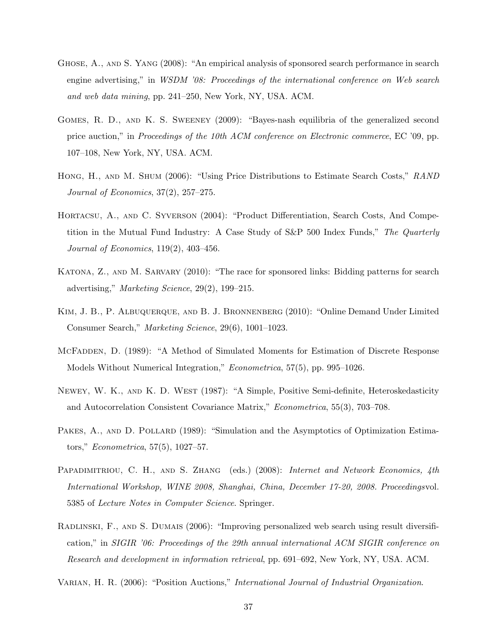- GHOSE, A., AND S. YANG (2008): "An empirical analysis of sponsored search performance in search engine advertising," in WSDM '08: Proceedings of the international conference on Web search and web data mining, pp. 241–250, New York, NY, USA. ACM.
- Gomes, R. D., and K. S. Sweeney (2009): "Bayes-nash equilibria of the generalized second price auction," in *Proceedings of the 10th ACM conference on Electronic commerce*, EC '09, pp. 107–108, New York, NY, USA. ACM.
- Hong, H., and M. Shum (2006): "Using Price Distributions to Estimate Search Costs," RAND Journal of Economics, 37(2), 257–275.
- Hortacsu, A., and C. Syverson (2004): "Product Differentiation, Search Costs, And Competition in the Mutual Fund Industry: A Case Study of S&P 500 Index Funds," The Quarterly Journal of Economics, 119(2), 403–456.
- KATONA, Z., AND M. SARVARY (2010): "The race for sponsored links: Bidding patterns for search advertising," Marketing Science, 29(2), 199–215.
- KIM, J. B., P. ALBUQUERQUE, AND B. J. BRONNENBERG (2010): "Online Demand Under Limited Consumer Search," Marketing Science, 29(6), 1001–1023.
- McFadden, D. (1989): "A Method of Simulated Moments for Estimation of Discrete Response Models Without Numerical Integration," Econometrica, 57(5), pp. 995–1026.
- Newey, W. K., and K. D. West (1987): "A Simple, Positive Semi-definite, Heteroskedasticity and Autocorrelation Consistent Covariance Matrix," Econometrica, 55(3), 703–708.
- PAKES, A., AND D. POLLARD (1989): "Simulation and the Asymptotics of Optimization Estimators," Econometrica, 57(5), 1027–57.
- PAPADIMITRIOU, C. H., AND S. ZHANG (eds.) (2008): Internet and Network Economics, 4th International Workshop, WINE 2008, Shanghai, China, December 17-20, 2008. Proceedingsvol. 5385 of Lecture Notes in Computer Science. Springer.
- Radlinski, F., and S. Dumais (2006): "Improving personalized web search using result diversification," in SIGIR '06: Proceedings of the 29th annual international ACM SIGIR conference on Research and development in information retrieval, pp. 691–692, New York, NY, USA. ACM.
- VARIAN, H. R. (2006): "Position Auctions," *International Journal of Industrial Organization*.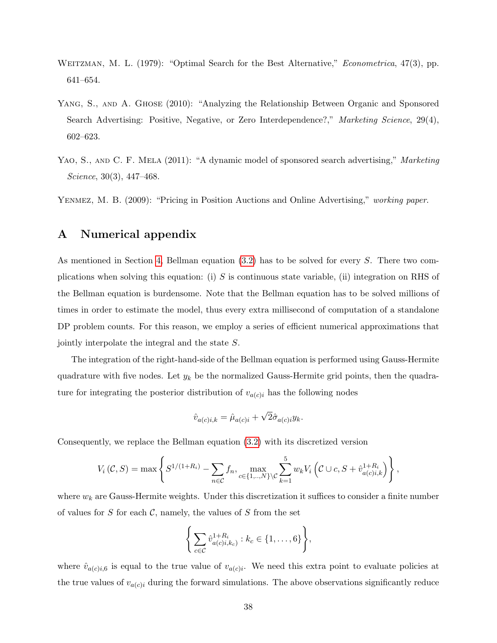- WEITZMAN, M. L. (1979): "Optimal Search for the Best Alternative," Econometrica, 47(3), pp. 641–654.
- YANG, S., AND A. GHOSE (2010): "Analyzing the Relationship Between Organic and Sponsored Search Advertising: Positive, Negative, or Zero Interdependence?," Marketing Science, 29(4), 602–623.
- YAO, S., AND C. F. MELA (2011): "A dynamic model of sponsored search advertising," Marketing Science, 30(3), 447–468.

Yenmez, M. B. (2009): "Pricing in Position Auctions and Online Advertising," working paper.

## <span id="page-37-0"></span>A Numerical appendix

As mentioned in Section [4,](#page-15-0) Bellman equation [\(3.2\)](#page-14-0) has to be solved for every S. There two complications when solving this equation: (i) S is continuous state variable, (ii) integration on RHS of the Bellman equation is burdensome. Note that the Bellman equation has to be solved millions of times in order to estimate the model, thus every extra millisecond of computation of a standalone DP problem counts. For this reason, we employ a series of efficient numerical approximations that jointly interpolate the integral and the state S.

The integration of the right-hand-side of the Bellman equation is performed using Gauss-Hermite quadrature with five nodes. Let  $y_k$  be the normalized Gauss-Hermite grid points, then the quadrature for integrating the posterior distribution of  $v_{a(c)i}$  has the following nodes

$$
\hat{v}_{a(c)i,k} = \hat{\mu}_{a(c)i} + \sqrt{2}\hat{\sigma}_{a(c)i}y_k.
$$

Consequently, we replace the Bellman equation [\(3.2\)](#page-14-0) with its discretized version

$$
V_i(C, S) = \max \left\{ S^{1/(1+R_i)} - \sum_{n \in C} f_n, \max_{c \in \{1, ..., N\} \setminus C} \sum_{k=1}^5 w_k V_i \left( C \cup c, S + \hat{v}_{a(c)i,k}^{1+R_i} \right) \right\},
$$

where  $w_k$  are Gauss-Hermite weights. Under this discretization it suffices to consider a finite number of values for  $S$  for each  $C$ , namely, the values of  $S$  from the set

$$
\left\{\sum_{c\in\mathcal{C}}\hat{v}_{a(c)i,k_c}^{1+R_i}:k_c\in\{1,\ldots,6\}\right\},\
$$

where  $\hat{v}_{a(c)i,6}$  is equal to the true value of  $v_{a(c)i}$ . We need this extra point to evaluate policies at the true values of  $v_{a(c)i}$  during the forward simulations. The above observations significantly reduce